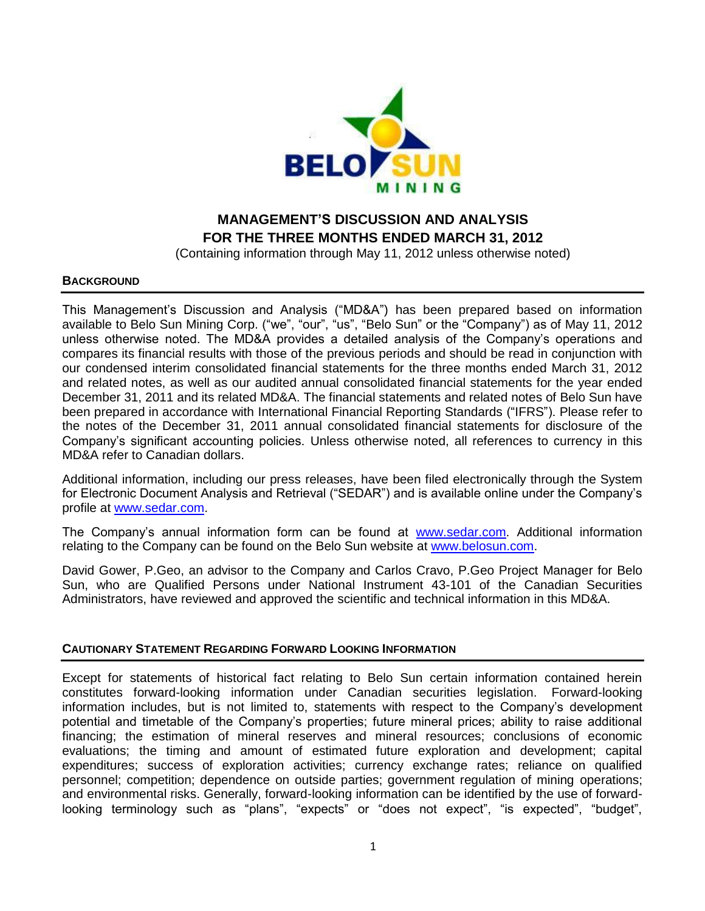

# **MANAGEMENT'S DISCUSSION AND ANALYSIS FOR THE THREE MONTHS ENDED MARCH 31, 2012**

(Containing information through May 11, 2012 unless otherwise noted)

#### **BACKGROUND**

This Management's Discussion and Analysis ("MD&A") has been prepared based on information available to Belo Sun Mining Corp. ("we", "our", "us", "Belo Sun" or the "Company") as of May 11, 2012 unless otherwise noted. The MD&A provides a detailed analysis of the Company's operations and compares its financial results with those of the previous periods and should be read in conjunction with our condensed interim consolidated financial statements for the three months ended March 31, 2012 and related notes, as well as our audited annual consolidated financial statements for the year ended December 31, 2011 and its related MD&A. The financial statements and related notes of Belo Sun have been prepared in accordance with International Financial Reporting Standards ("IFRS"). Please refer to the notes of the December 31, 2011 annual consolidated financial statements for disclosure of the Company's significant accounting policies. Unless otherwise noted, all references to currency in this MD&A refer to Canadian dollars.

Additional information, including our press releases, have been filed electronically through the System for Electronic Document Analysis and Retrieval ("SEDAR") and is available online under the Company's profile at [www.sedar.com.](http://www.sedar.com/)

The Company's annual information form can be found at [www.sedar.com.](http://www.sedar.com/) Additional information relating to the Company can be found on the Belo Sun website at [www.belosun.com.](http://www.belosun.com/)

David Gower, P.Geo, an advisor to the Company and Carlos Cravo, P.Geo Project Manager for Belo Sun, who are Qualified Persons under National Instrument 43-101 of the Canadian Securities Administrators, have reviewed and approved the scientific and technical information in this MD&A.

## **CAUTIONARY STATEMENT REGARDING FORWARD LOOKING INFORMATION**

Except for statements of historical fact relating to Belo Sun certain information contained herein constitutes forward-looking information under Canadian securities legislation. Forward-looking information includes, but is not limited to, statements with respect to the Company's development potential and timetable of the Company's properties; future mineral prices; ability to raise additional financing; the estimation of mineral reserves and mineral resources; conclusions of economic evaluations; the timing and amount of estimated future exploration and development; capital expenditures; success of exploration activities; currency exchange rates; reliance on qualified personnel; competition; dependence on outside parties; government regulation of mining operations; and environmental risks. Generally, forward-looking information can be identified by the use of forwardlooking terminology such as "plans", "expects" or "does not expect", "is expected", "budget",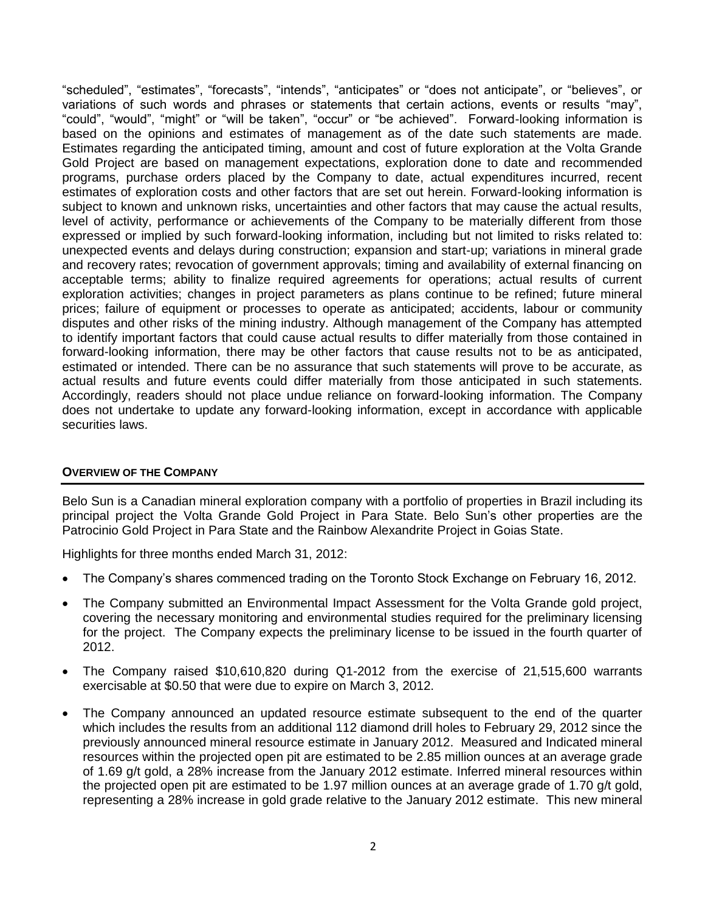"scheduled", "estimates", "forecasts", "intends", "anticipates" or "does not anticipate", or "believes", or variations of such words and phrases or statements that certain actions, events or results "may", "could", "would", "might" or "will be taken", "occur" or "be achieved". Forward-looking information is based on the opinions and estimates of management as of the date such statements are made. Estimates regarding the anticipated timing, amount and cost of future exploration at the Volta Grande Gold Project are based on management expectations, exploration done to date and recommended programs, purchase orders placed by the Company to date, actual expenditures incurred, recent estimates of exploration costs and other factors that are set out herein. Forward-looking information is subject to known and unknown risks, uncertainties and other factors that may cause the actual results, level of activity, performance or achievements of the Company to be materially different from those expressed or implied by such forward-looking information, including but not limited to risks related to: unexpected events and delays during construction; expansion and start-up; variations in mineral grade and recovery rates; revocation of government approvals; timing and availability of external financing on acceptable terms; ability to finalize required agreements for operations; actual results of current exploration activities; changes in project parameters as plans continue to be refined; future mineral prices; failure of equipment or processes to operate as anticipated; accidents, labour or community disputes and other risks of the mining industry. Although management of the Company has attempted to identify important factors that could cause actual results to differ materially from those contained in forward-looking information, there may be other factors that cause results not to be as anticipated, estimated or intended. There can be no assurance that such statements will prove to be accurate, as actual results and future events could differ materially from those anticipated in such statements. Accordingly, readers should not place undue reliance on forward-looking information. The Company does not undertake to update any forward-looking information, except in accordance with applicable securities laws.

## **OVERVIEW OF THE COMPANY**

Belo Sun is a Canadian mineral exploration company with a portfolio of properties in Brazil including its principal project the Volta Grande Gold Project in Para State. Belo Sun's other properties are the Patrocinio Gold Project in Para State and the Rainbow Alexandrite Project in Goias State.

Highlights for three months ended March 31, 2012:

- The Company's shares commenced trading on the Toronto Stock Exchange on February 16, 2012.
- The Company submitted an Environmental Impact Assessment for the Volta Grande gold project, covering the necessary monitoring and environmental studies required for the preliminary licensing for the project. The Company expects the preliminary license to be issued in the fourth quarter of 2012.
- The Company raised \$10,610,820 during Q1-2012 from the exercise of 21,515,600 warrants exercisable at \$0.50 that were due to expire on March 3, 2012.
- The Company announced an updated resource estimate subsequent to the end of the quarter which includes the results from an additional 112 diamond drill holes to February 29, 2012 since the previously announced mineral resource estimate in January 2012. Measured and Indicated mineral resources within the projected open pit are estimated to be 2.85 million ounces at an average grade of 1.69 g/t gold, a 28% increase from the January 2012 estimate. Inferred mineral resources within the projected open pit are estimated to be 1.97 million ounces at an average grade of 1.70 g/t gold, representing a 28% increase in gold grade relative to the January 2012 estimate. This new mineral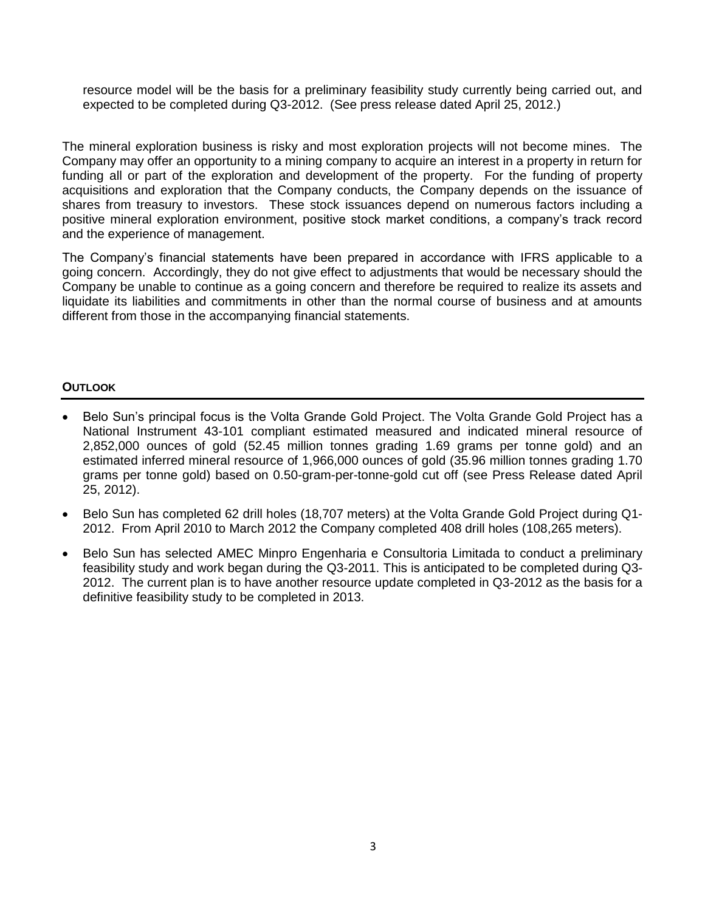resource model will be the basis for a preliminary feasibility study currently being carried out, and expected to be completed during Q3-2012. (See press release dated April 25, 2012.)

The mineral exploration business is risky and most exploration projects will not become mines. The Company may offer an opportunity to a mining company to acquire an interest in a property in return for funding all or part of the exploration and development of the property. For the funding of property acquisitions and exploration that the Company conducts, the Company depends on the issuance of shares from treasury to investors. These stock issuances depend on numerous factors including a positive mineral exploration environment, positive stock market conditions, a company's track record and the experience of management.

The Company's financial statements have been prepared in accordance with IFRS applicable to a going concern. Accordingly, they do not give effect to adjustments that would be necessary should the Company be unable to continue as a going concern and therefore be required to realize its assets and liquidate its liabilities and commitments in other than the normal course of business and at amounts different from those in the accompanying financial statements.

# **OUTLOOK**

- Belo Sun's principal focus is the Volta Grande Gold Project. The Volta Grande Gold Project has a National Instrument 43-101 compliant estimated measured and indicated mineral resource of 2,852,000 ounces of gold (52.45 million tonnes grading 1.69 grams per tonne gold) and an estimated inferred mineral resource of 1,966,000 ounces of gold (35.96 million tonnes grading 1.70 grams per tonne gold) based on 0.50-gram-per-tonne-gold cut off (see Press Release dated April 25, 2012).
- Belo Sun has completed 62 drill holes (18,707 meters) at the Volta Grande Gold Project during Q1- 2012. From April 2010 to March 2012 the Company completed 408 drill holes (108,265 meters).
- Belo Sun has selected AMEC Minpro Engenharia e Consultoria Limitada to conduct a preliminary feasibility study and work began during the Q3-2011. This is anticipated to be completed during Q3- 2012. The current plan is to have another resource update completed in Q3-2012 as the basis for a definitive feasibility study to be completed in 2013.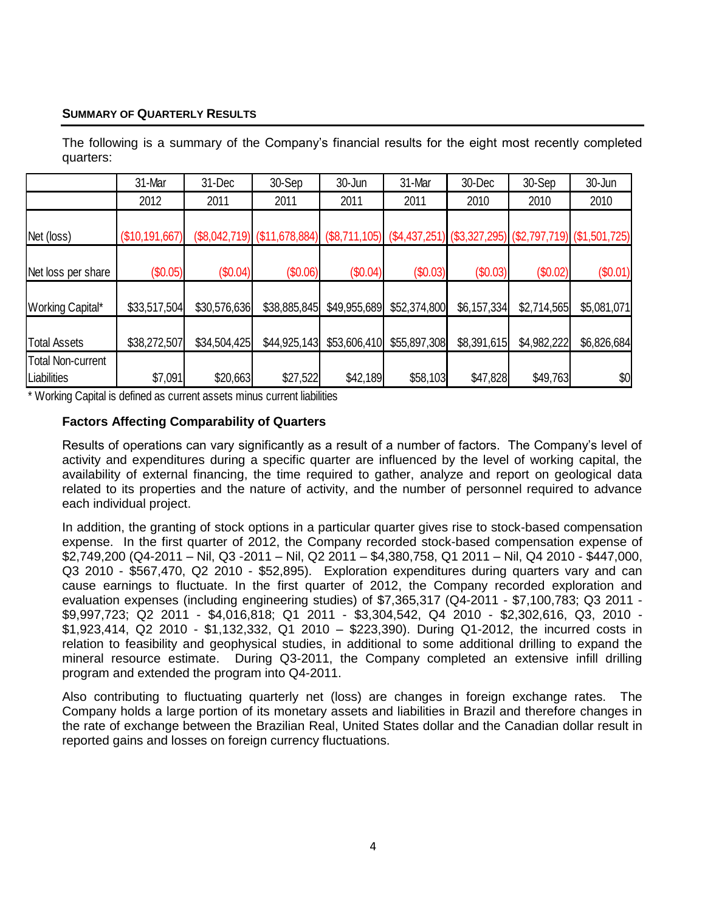# **SUMMARY OF QUARTERLY RESULTS**

The following is a summary of the Company's financial results for the eight most recently completed quarters: 31-Mar | 31-Dec | 30-Sep | 30-Jun | 31-Mar | 30-Dec | 30-Sep | 30-Jun 2012 | 2011 | 2011 | 2011 | 2011 | 2010 | 2010 | 2010

Net (loss) (\$10,191,667) (\$8,042,719) (\$11,678,884) (\$8,711,105) (\$4,437,251) (\$3,327,295) (\$2,797,719) (\$1,501,725)

Net loss per share (\$0.05) (\$0.04) (\$0.06) (\$0.04) (\$0.03) (\$0.03) (\$0.02) (\$0.01)

Working Capital\* | \$33,517,504 \$30,576,636 \$38,885,845 \$49,955,689 \$52,374,800 \$6,157,334 \$2,714,565 \$5,081,071

Total Assets | \$38,272,507| \$34,504,425| \$44,925,143| \$53,606,410| \$55,897,308| \$8,391,615| \$4,982,222| \$6,826,684|

| <b>Since the State</b><br>Liabilities | $m -$<br>. A.<br>14<br>ı ıu<br>ιDΙ<br>.טט | \$20,663 | ົົົ<br>5991<br>JZ.<br>.∠ب. | 189<br>\$42 | ጠር<br>103<br>ახბ | .828<br>$\mathbf{r}$<br>.64' | 700<br>- S49.<br>7631 | \$0 |
|---------------------------------------|-------------------------------------------|----------|----------------------------|-------------|------------------|------------------------------|-----------------------|-----|
| $\cdots$                              |                                           |          |                            |             |                  |                              |                       |     |

Working Capital is defined as current assets minus current liabilities

Total Non-current

# **Factors Affecting Comparability of Quarters**

Results of operations can vary significantly as a result of a number of factors. The Company's level of activity and expenditures during a specific quarter are influenced by the level of working capital, the availability of external financing, the time required to gather, analyze and report on geological data related to its properties and the nature of activity, and the number of personnel required to advance each individual project.

In addition, the granting of stock options in a particular quarter gives rise to stock-based compensation expense. In the first quarter of 2012, the Company recorded stock-based compensation expense of \$2,749,200 (Q4-2011 – Nil, Q3 -2011 – Nil, Q2 2011 – \$4,380,758, Q1 2011 – Nil, Q4 2010 - \$447,000, Q3 2010 - \$567,470, Q2 2010 - \$52,895). Exploration expenditures during quarters vary and can cause earnings to fluctuate. In the first quarter of 2012, the Company recorded exploration and evaluation expenses (including engineering studies) of \$7,365,317 (Q4-2011 - \$7,100,783; Q3 2011 - \$9,997,723; Q2 2011 - \$4,016,818; Q1 2011 - \$3,304,542, Q4 2010 - \$2,302,616, Q3, 2010 - \$1,923,414, Q2 2010 - \$1,132,332, Q1 2010 – \$223,390). During Q1-2012, the incurred costs in relation to feasibility and geophysical studies, in additional to some additional drilling to expand the mineral resource estimate. During Q3-2011, the Company completed an extensive infill drilling program and extended the program into Q4-2011.

Also contributing to fluctuating quarterly net (loss) are changes in foreign exchange rates. The Company holds a large portion of its monetary assets and liabilities in Brazil and therefore changes in the rate of exchange between the Brazilian Real, United States dollar and the Canadian dollar result in reported gains and losses on foreign currency fluctuations.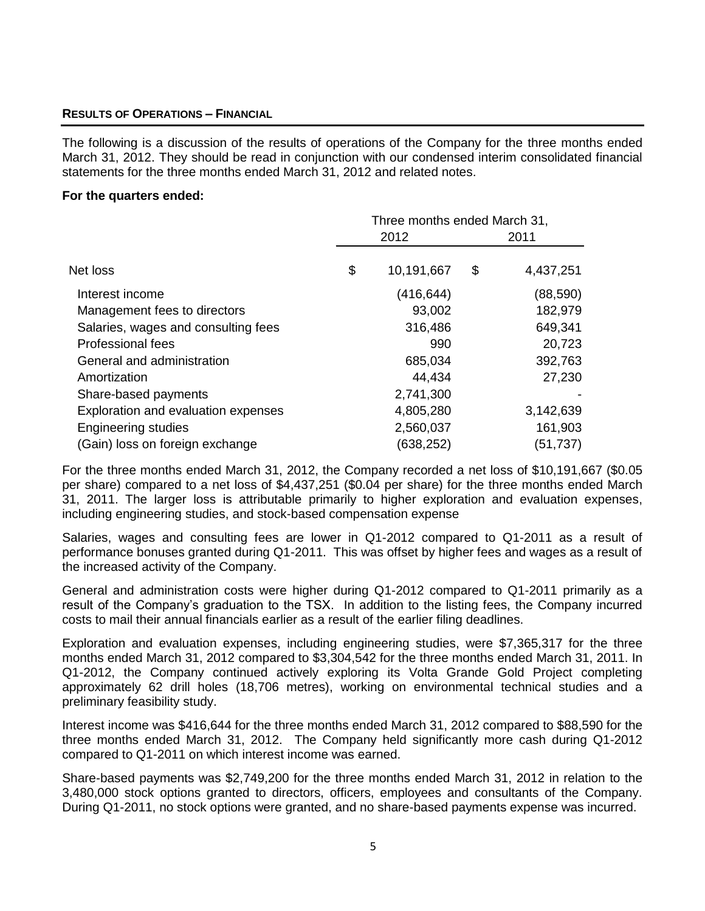## **RESULTS OF OPERATIONS – FINANCIAL**

The following is a discussion of the results of operations of the Company for the three months ended March 31, 2012. They should be read in conjunction with our condensed interim consolidated financial statements for the three months ended March 31, 2012 and related notes.

#### **For the quarters ended:**

|                                     | Three months ended March 31, |            |    |           |
|-------------------------------------|------------------------------|------------|----|-----------|
|                                     |                              | 2012       |    | 2011      |
| Net loss                            | \$                           | 10,191,667 | \$ | 4,437,251 |
| Interest income                     |                              | (416, 644) |    | (88,590)  |
| Management fees to directors        |                              | 93,002     |    | 182,979   |
| Salaries, wages and consulting fees |                              | 316,486    |    | 649,341   |
| <b>Professional fees</b>            |                              | 990        |    | 20,723    |
| General and administration          |                              | 685,034    |    | 392,763   |
| Amortization                        |                              | 44,434     |    | 27,230    |
| Share-based payments                |                              | 2,741,300  |    |           |
| Exploration and evaluation expenses |                              | 4,805,280  |    | 3,142,639 |
| <b>Engineering studies</b>          |                              | 2,560,037  |    | 161,903   |
| (Gain) loss on foreign exchange     |                              | (638,252)  |    | (51, 737) |

For the three months ended March 31, 2012, the Company recorded a net loss of \$10,191,667 (\$0.05 per share) compared to a net loss of \$4,437,251 (\$0.04 per share) for the three months ended March 31, 2011. The larger loss is attributable primarily to higher exploration and evaluation expenses, including engineering studies, and stock-based compensation expense

Salaries, wages and consulting fees are lower in Q1-2012 compared to Q1-2011 as a result of performance bonuses granted during Q1-2011. This was offset by higher fees and wages as a result of the increased activity of the Company.

General and administration costs were higher during Q1-2012 compared to Q1-2011 primarily as a result of the Company's graduation to the TSX. In addition to the listing fees, the Company incurred costs to mail their annual financials earlier as a result of the earlier filing deadlines.

Exploration and evaluation expenses, including engineering studies, were \$7,365,317 for the three months ended March 31, 2012 compared to \$3,304,542 for the three months ended March 31, 2011. In Q1-2012, the Company continued actively exploring its Volta Grande Gold Project completing approximately 62 drill holes (18,706 metres), working on environmental technical studies and a preliminary feasibility study.

Interest income was \$416,644 for the three months ended March 31, 2012 compared to \$88,590 for the three months ended March 31, 2012. The Company held significantly more cash during Q1-2012 compared to Q1-2011 on which interest income was earned.

Share-based payments was \$2,749,200 for the three months ended March 31, 2012 in relation to the 3,480,000 stock options granted to directors, officers, employees and consultants of the Company. During Q1-2011, no stock options were granted, and no share-based payments expense was incurred.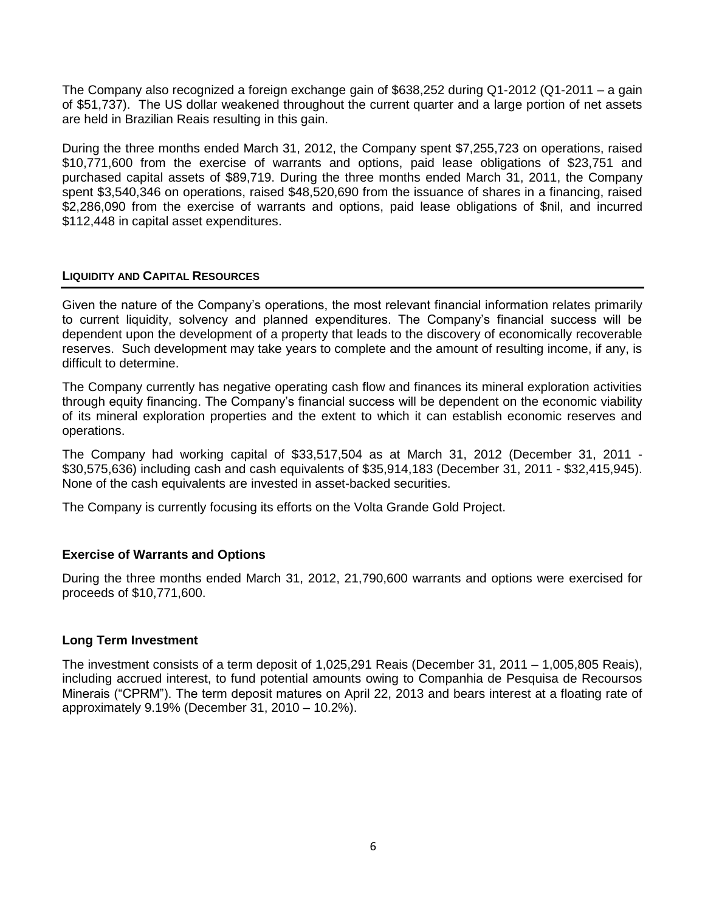The Company also recognized a foreign exchange gain of \$638,252 during Q1-2012 (Q1-2011 – a gain of \$51,737). The US dollar weakened throughout the current quarter and a large portion of net assets are held in Brazilian Reais resulting in this gain.

During the three months ended March 31, 2012, the Company spent \$7,255,723 on operations, raised \$10,771,600 from the exercise of warrants and options, paid lease obligations of \$23,751 and purchased capital assets of \$89,719. During the three months ended March 31, 2011, the Company spent \$3,540,346 on operations, raised \$48,520,690 from the issuance of shares in a financing, raised \$2,286,090 from the exercise of warrants and options, paid lease obligations of \$nil, and incurred \$112,448 in capital asset expenditures.

# **LIQUIDITY AND CAPITAL RESOURCES**

Given the nature of the Company's operations, the most relevant financial information relates primarily to current liquidity, solvency and planned expenditures. The Company's financial success will be dependent upon the development of a property that leads to the discovery of economically recoverable reserves. Such development may take years to complete and the amount of resulting income, if any, is difficult to determine.

The Company currently has negative operating cash flow and finances its mineral exploration activities through equity financing. The Company's financial success will be dependent on the economic viability of its mineral exploration properties and the extent to which it can establish economic reserves and operations.

The Company had working capital of \$33,517,504 as at March 31, 2012 (December 31, 2011 - \$30,575,636) including cash and cash equivalents of \$35,914,183 (December 31, 2011 - \$32,415,945). None of the cash equivalents are invested in asset-backed securities.

The Company is currently focusing its efforts on the Volta Grande Gold Project.

# **Exercise of Warrants and Options**

During the three months ended March 31, 2012, 21,790,600 warrants and options were exercised for proceeds of \$10,771,600.

## **Long Term Investment**

The investment consists of a term deposit of 1,025,291 Reais (December 31, 2011 – 1,005,805 Reais), including accrued interest, to fund potential amounts owing to Companhia de Pesquisa de Recoursos Minerais ("CPRM"). The term deposit matures on April 22, 2013 and bears interest at a floating rate of approximately 9.19% (December 31, 2010 – 10.2%).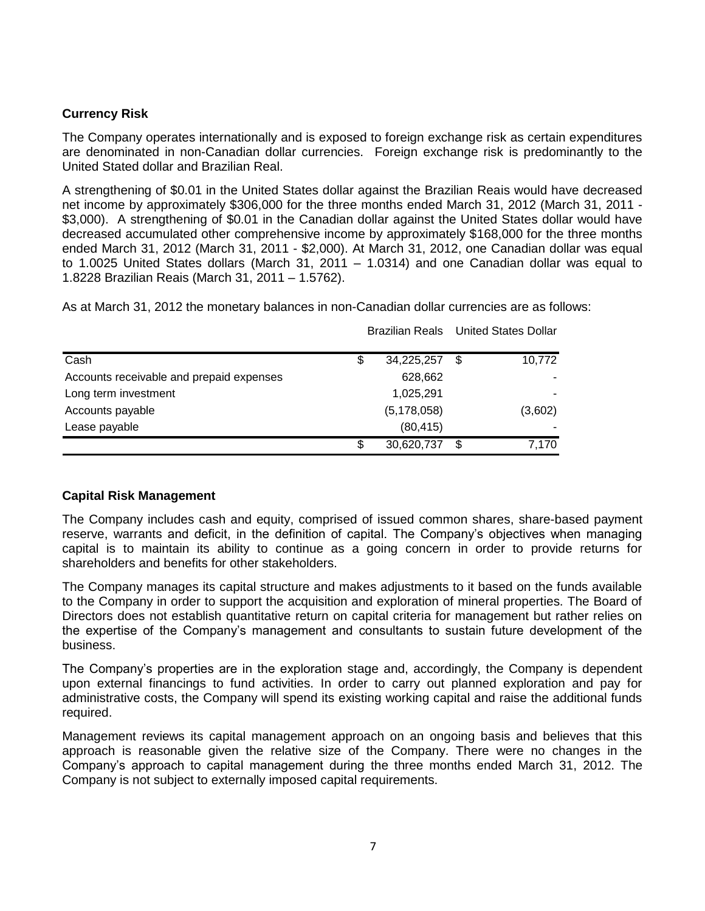# **Currency Risk**

The Company operates internationally and is exposed to foreign exchange risk as certain expenditures are denominated in non-Canadian dollar currencies. Foreign exchange risk is predominantly to the United Stated dollar and Brazilian Real.

A strengthening of \$0.01 in the United States dollar against the Brazilian Reais would have decreased net income by approximately \$306,000 for the three months ended March 31, 2012 (March 31, 2011 - \$3,000). A strengthening of \$0.01 in the Canadian dollar against the United States dollar would have decreased accumulated other comprehensive income by approximately \$168,000 for the three months ended March 31, 2012 (March 31, 2011 - \$2,000). At March 31, 2012, one Canadian dollar was equal to 1.0025 United States dollars (March 31, 2011 – 1.0314) and one Canadian dollar was equal to 1.8228 Brazilian Reais (March 31, 2011 – 1.5762).

As at March 31, 2012 the monetary balances in non-Canadian dollar currencies are as follows:

| Cash                                     | \$<br>34,225,257 | \$<br>10,772 |
|------------------------------------------|------------------|--------------|
| Accounts receivable and prepaid expenses | 628,662          |              |
| Long term investment                     | 1,025,291        |              |
| Accounts payable                         | (5, 178, 058)    | (3,602)      |
| Lease payable                            | (80, 415)        |              |
|                                          | \$<br>30,620,737 | 7.170        |

Brazilian Reals United States Dollar

# **Capital Risk Management**

The Company includes cash and equity, comprised of issued common shares, share-based payment reserve, warrants and deficit, in the definition of capital. The Company's objectives when managing capital is to maintain its ability to continue as a going concern in order to provide returns for shareholders and benefits for other stakeholders.

The Company manages its capital structure and makes adjustments to it based on the funds available to the Company in order to support the acquisition and exploration of mineral properties. The Board of Directors does not establish quantitative return on capital criteria for management but rather relies on the expertise of the Company's management and consultants to sustain future development of the business.

The Company's properties are in the exploration stage and, accordingly, the Company is dependent upon external financings to fund activities. In order to carry out planned exploration and pay for administrative costs, the Company will spend its existing working capital and raise the additional funds required.

Management reviews its capital management approach on an ongoing basis and believes that this approach is reasonable given the relative size of the Company. There were no changes in the Company's approach to capital management during the three months ended March 31, 2012. The Company is not subject to externally imposed capital requirements.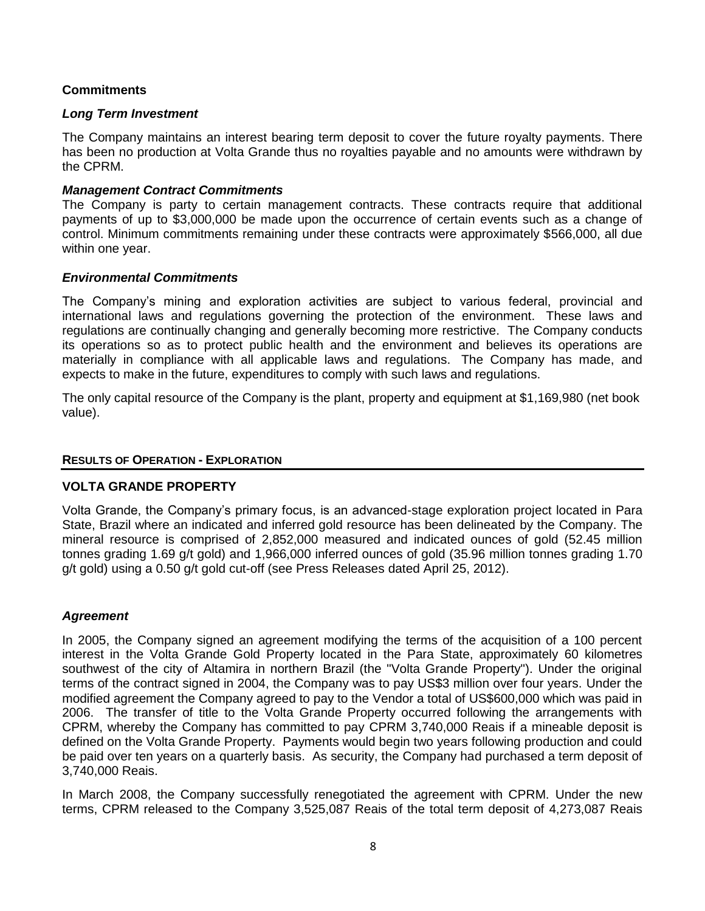# **Commitments**

## *Long Term Investment*

The Company maintains an interest bearing term deposit to cover the future royalty payments. There has been no production at Volta Grande thus no royalties payable and no amounts were withdrawn by the CPRM.

## *Management Contract Commitments*

The Company is party to certain management contracts. These contracts require that additional payments of up to \$3,000,000 be made upon the occurrence of certain events such as a change of control. Minimum commitments remaining under these contracts were approximately \$566,000, all due within one year.

## *Environmental Commitments*

The Company's mining and exploration activities are subject to various federal, provincial and international laws and regulations governing the protection of the environment. These laws and regulations are continually changing and generally becoming more restrictive. The Company conducts its operations so as to protect public health and the environment and believes its operations are materially in compliance with all applicable laws and regulations. The Company has made, and expects to make in the future, expenditures to comply with such laws and regulations.

The only capital resource of the Company is the plant, property and equipment at \$1,169,980 (net book value).

### **RESULTS OF OPERATION - EXPLORATION**

## **VOLTA GRANDE PROPERTY**

Volta Grande, the Company's primary focus, is an advanced-stage exploration project located in Para State, Brazil where an indicated and inferred gold resource has been delineated by the Company. The mineral resource is comprised of 2,852,000 measured and indicated ounces of gold (52.45 million tonnes grading 1.69 g/t gold) and 1,966,000 inferred ounces of gold (35.96 million tonnes grading 1.70 g/t gold) using a 0.50 g/t gold cut-off (see Press Releases dated April 25, 2012).

## *Agreement*

In 2005, the Company signed an agreement modifying the terms of the acquisition of a 100 percent interest in the Volta Grande Gold Property located in the Para State, approximately 60 kilometres southwest of the city of Altamira in northern Brazil (the "Volta Grande Property"). Under the original terms of the contract signed in 2004, the Company was to pay US\$3 million over four years. Under the modified agreement the Company agreed to pay to the Vendor a total of US\$600,000 which was paid in 2006. The transfer of title to the Volta Grande Property occurred following the arrangements with CPRM, whereby the Company has committed to pay CPRM 3,740,000 Reais if a mineable deposit is defined on the Volta Grande Property. Payments would begin two years following production and could be paid over ten years on a quarterly basis. As security, the Company had purchased a term deposit of 3,740,000 Reais.

In March 2008, the Company successfully renegotiated the agreement with CPRM. Under the new terms, CPRM released to the Company 3,525,087 Reais of the total term deposit of 4,273,087 Reais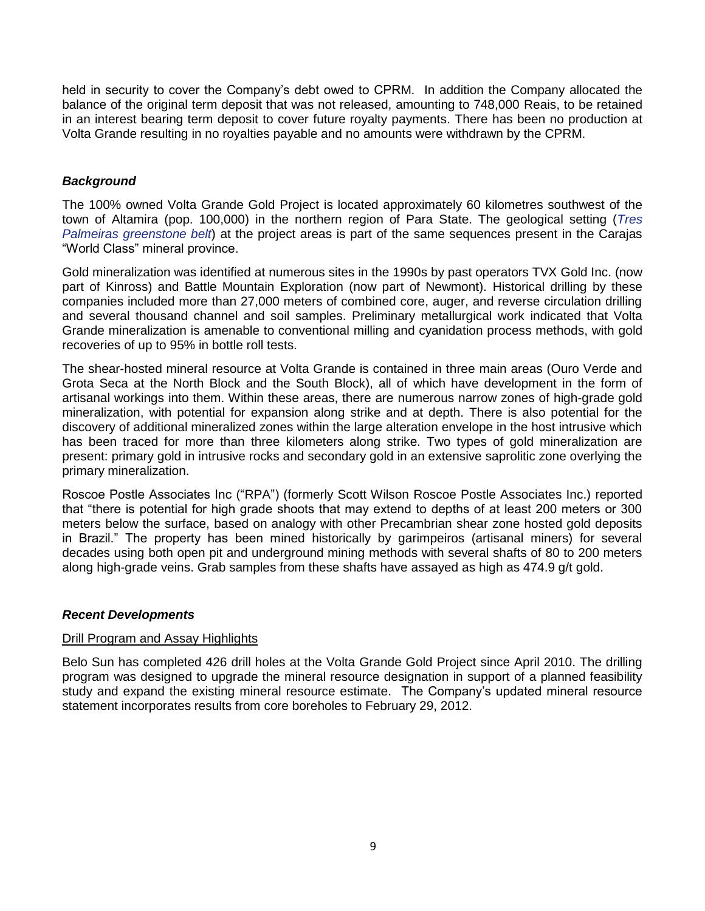held in security to cover the Company's debt owed to CPRM. In addition the Company allocated the balance of the original term deposit that was not released, amounting to 748,000 Reais, to be retained in an interest bearing term deposit to cover future royalty payments. There has been no production at Volta Grande resulting in no royalties payable and no amounts were withdrawn by the CPRM.

# *Background*

The 100% owned Volta Grande Gold Project is located approximately 60 kilometres southwest of the town of Altamira (pop. 100,000) in the northern region of Para State. The geological setting (*Tres Palmeiras greenstone belt*) at the project areas is part of the same sequences present in the Carajas "World Class" mineral province.

Gold mineralization was identified at numerous sites in the 1990s by past operators TVX Gold Inc. (now part of Kinross) and Battle Mountain Exploration (now part of Newmont). Historical drilling by these companies included more than 27,000 meters of combined core, auger, and reverse circulation drilling and several thousand channel and soil samples. Preliminary metallurgical work indicated that Volta Grande mineralization is amenable to conventional milling and cyanidation process methods, with gold recoveries of up to 95% in bottle roll tests.

The shear-hosted mineral resource at Volta Grande is contained in three main areas (Ouro Verde and Grota Seca at the North Block and the South Block), all of which have development in the form of artisanal workings into them. Within these areas, there are numerous narrow zones of high-grade gold mineralization, with potential for expansion along strike and at depth. There is also potential for the discovery of additional mineralized zones within the large alteration envelope in the host intrusive which has been traced for more than three kilometers along strike. Two types of gold mineralization are present: primary gold in intrusive rocks and secondary gold in an extensive saprolitic zone overlying the primary mineralization.

Roscoe Postle Associates Inc ("RPA") (formerly Scott Wilson Roscoe Postle Associates Inc.) reported that "there is potential for high grade shoots that may extend to depths of at least 200 meters or 300 meters below the surface, based on analogy with other Precambrian shear zone hosted gold deposits in Brazil." The property has been mined historically by garimpeiros (artisanal miners) for several decades using both open pit and underground mining methods with several shafts of 80 to 200 meters along high-grade veins. Grab samples from these shafts have assayed as high as 474.9 g/t gold.

# *Recent Developments*

## Drill Program and Assay Highlights

Belo Sun has completed 426 drill holes at the Volta Grande Gold Project since April 2010. The drilling program was designed to upgrade the mineral resource designation in support of a planned feasibility study and expand the existing mineral resource estimate. The Company's updated mineral resource statement incorporates results from core boreholes to February 29, 2012.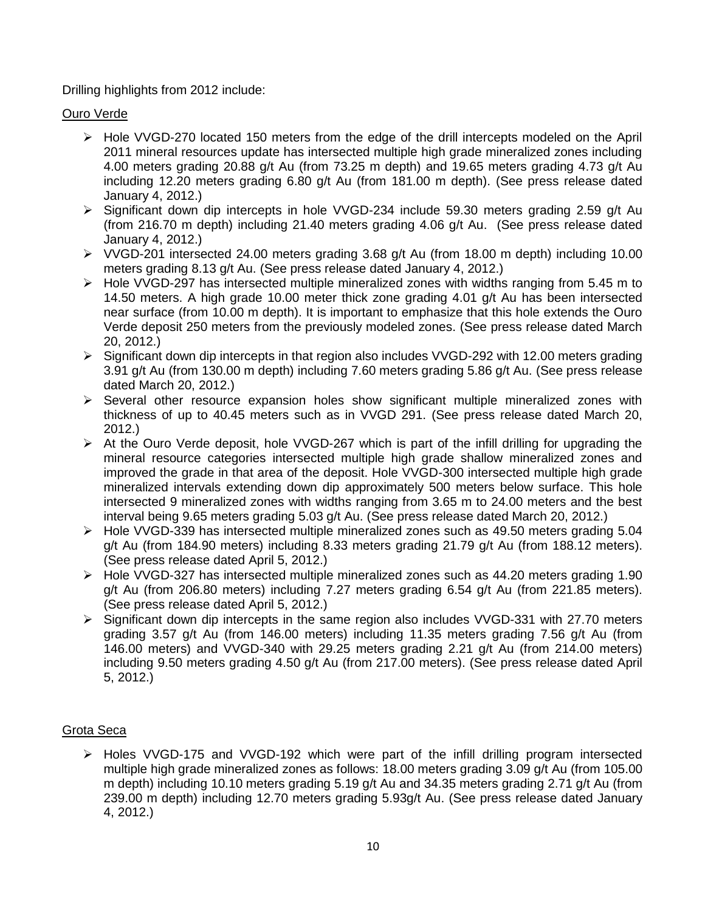# Drilling highlights from 2012 include:

# Ouro Verde

- Hole VVGD-270 located 150 meters from the edge of the drill intercepts modeled on the April 2011 mineral resources update has intersected multiple high grade mineralized zones including 4.00 meters grading 20.88 g/t Au (from 73.25 m depth) and 19.65 meters grading 4.73 g/t Au including 12.20 meters grading 6.80 g/t Au (from 181.00 m depth). (See press release dated January 4, 2012.)
- $\triangleright$  Significant down dip intercepts in hole VVGD-234 include 59.30 meters grading 2.59 g/t Au (from 216.70 m depth) including 21.40 meters grading 4.06 g/t Au. (See press release dated January 4, 2012.)
- $\triangleright$  VVGD-201 intersected 24.00 meters grading 3.68 g/t Au (from 18.00 m depth) including 10.00 meters grading 8.13 g/t Au. (See press release dated January 4, 2012.)
- $\triangleright$  Hole VVGD-297 has intersected multiple mineralized zones with widths ranging from 5.45 m to 14.50 meters. A high grade 10.00 meter thick zone grading 4.01 g/t Au has been intersected near surface (from 10.00 m depth). It is important to emphasize that this hole extends the Ouro Verde deposit 250 meters from the previously modeled zones. (See press release dated March 20, 2012.)
- $\triangleright$  Significant down dip intercepts in that region also includes VVGD-292 with 12.00 meters grading 3.91 g/t Au (from 130.00 m depth) including 7.60 meters grading 5.86 g/t Au. (See press release dated March 20, 2012.)
- $\triangleright$  Several other resource expansion holes show significant multiple mineralized zones with thickness of up to 40.45 meters such as in VVGD 291. (See press release dated March 20, 2012.)
- $\triangleright$  At the Ouro Verde deposit, hole VVGD-267 which is part of the infill drilling for upgrading the mineral resource categories intersected multiple high grade shallow mineralized zones and improved the grade in that area of the deposit. Hole VVGD-300 intersected multiple high grade mineralized intervals extending down dip approximately 500 meters below surface. This hole intersected 9 mineralized zones with widths ranging from 3.65 m to 24.00 meters and the best interval being 9.65 meters grading 5.03 g/t Au. (See press release dated March 20, 2012.)
- Hole VVGD-339 has intersected multiple mineralized zones such as 49.50 meters grading 5.04 g/t Au (from 184.90 meters) including 8.33 meters grading 21.79 g/t Au (from 188.12 meters). (See press release dated April 5, 2012.)
- Hole VVGD-327 has intersected multiple mineralized zones such as 44.20 meters grading 1.90 g/t Au (from 206.80 meters) including 7.27 meters grading 6.54 g/t Au (from 221.85 meters). (See press release dated April 5, 2012.)
- $\triangleright$  Significant down dip intercepts in the same region also includes VVGD-331 with 27.70 meters grading 3.57 g/t Au (from 146.00 meters) including 11.35 meters grading 7.56 g/t Au (from 146.00 meters) and VVGD-340 with 29.25 meters grading 2.21 g/t Au (from 214.00 meters) including 9.50 meters grading 4.50 g/t Au (from 217.00 meters). (See press release dated April 5, 2012.)

# Grota Seca

 $\triangleright$  Holes VVGD-175 and VVGD-192 which were part of the infill drilling program intersected multiple high grade mineralized zones as follows: 18.00 meters grading 3.09 g/t Au (from 105.00 m depth) including 10.10 meters grading 5.19 g/t Au and 34.35 meters grading 2.71 g/t Au (from 239.00 m depth) including 12.70 meters grading 5.93g/t Au. (See press release dated January 4, 2012.)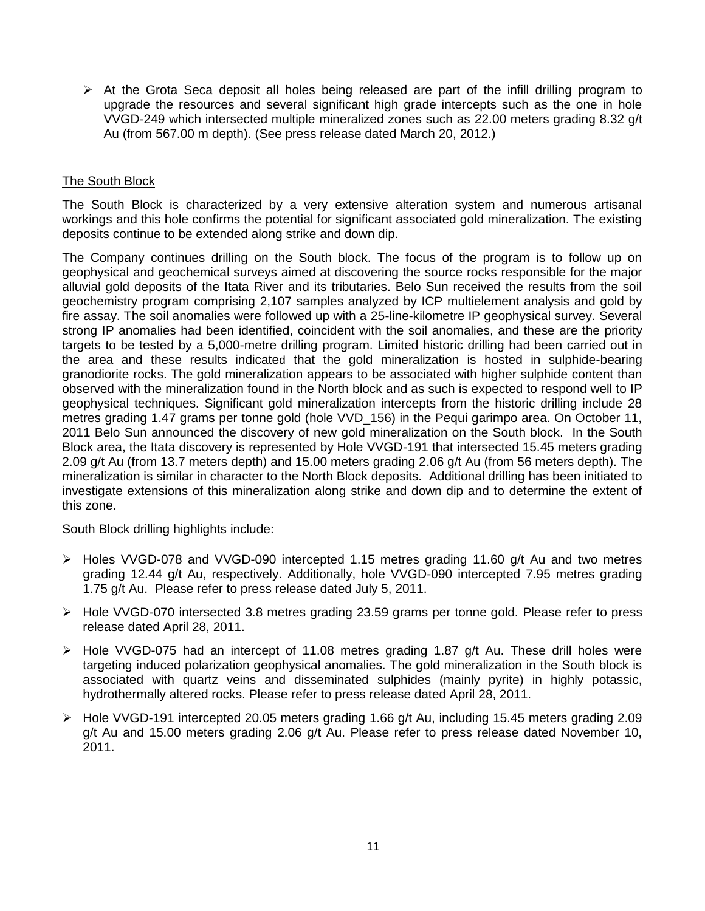$\triangleright$  At the Grota Seca deposit all holes being released are part of the infill drilling program to upgrade the resources and several significant high grade intercepts such as the one in hole VVGD-249 which intersected multiple mineralized zones such as 22.00 meters grading 8.32 g/t Au (from 567.00 m depth). (See press release dated March 20, 2012.)

# The South Block

The South Block is characterized by a very extensive alteration system and numerous artisanal workings and this hole confirms the potential for significant associated gold mineralization. The existing deposits continue to be extended along strike and down dip.

The Company continues drilling on the South block. The focus of the program is to follow up on geophysical and geochemical surveys aimed at discovering the source rocks responsible for the major alluvial gold deposits of the Itata River and its tributaries. Belo Sun received the results from the soil geochemistry program comprising 2,107 samples analyzed by ICP multielement analysis and gold by fire assay. The soil anomalies were followed up with a 25-line-kilometre IP geophysical survey. Several strong IP anomalies had been identified, coincident with the soil anomalies, and these are the priority targets to be tested by a 5,000-metre drilling program. Limited historic drilling had been carried out in the area and these results indicated that the gold mineralization is hosted in sulphide-bearing granodiorite rocks. The gold mineralization appears to be associated with higher sulphide content than observed with the mineralization found in the North block and as such is expected to respond well to IP geophysical techniques. Significant gold mineralization intercepts from the historic drilling include 28 metres grading 1.47 grams per tonne gold (hole VVD\_156) in the Pequi garimpo area. On October 11, 2011 Belo Sun announced the discovery of new gold mineralization on the South block. In the South Block area, the Itata discovery is represented by Hole VVGD-191 that intersected 15.45 meters grading 2.09 g/t Au (from 13.7 meters depth) and 15.00 meters grading 2.06 g/t Au (from 56 meters depth). The mineralization is similar in character to the North Block deposits. Additional drilling has been initiated to investigate extensions of this mineralization along strike and down dip and to determine the extent of this zone.

South Block drilling highlights include:

- Holes VVGD-078 and VVGD-090 intercepted 1.15 metres grading 11.60 g/t Au and two metres grading 12.44 g/t Au, respectively. Additionally, hole VVGD-090 intercepted 7.95 metres grading 1.75 g/t Au. Please refer to press release dated July 5, 2011.
- Hole VVGD-070 intersected 3.8 metres grading 23.59 grams per tonne gold. Please refer to press release dated April 28, 2011.
- Hole VVGD-075 had an intercept of 11.08 metres grading 1.87 g/t Au. These drill holes were targeting induced polarization geophysical anomalies. The gold mineralization in the South block is associated with quartz veins and disseminated sulphides (mainly pyrite) in highly potassic, hydrothermally altered rocks. Please refer to press release dated April 28, 2011.
- $\triangleright$  Hole VVGD-191 intercepted 20.05 meters grading 1.66 g/t Au, including 15.45 meters grading 2.09 g/t Au and 15.00 meters grading 2.06 g/t Au. Please refer to press release dated November 10, 2011.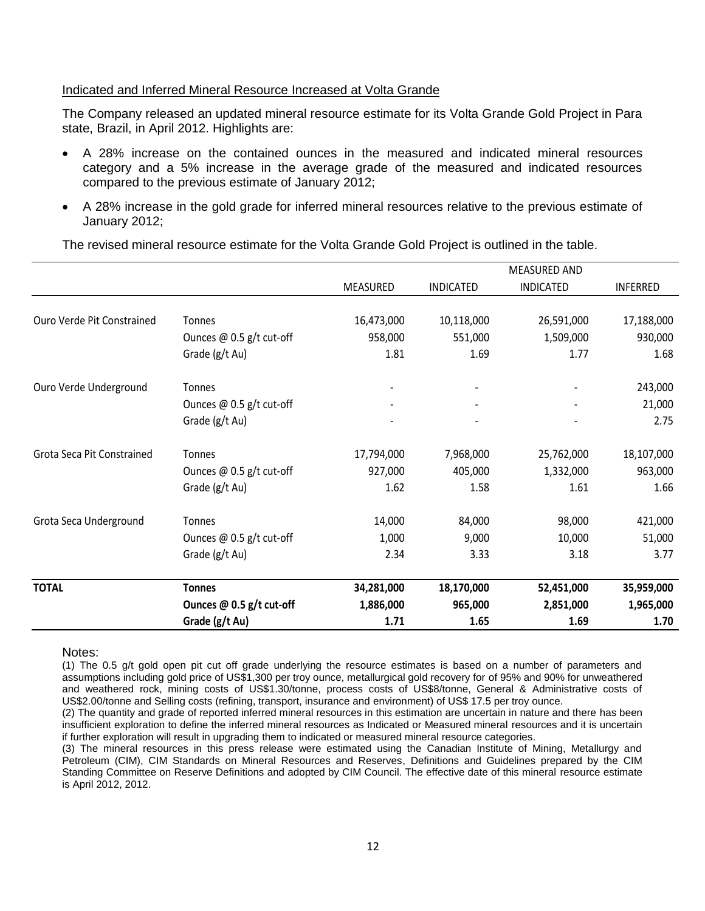## Indicated and Inferred Mineral Resource Increased at Volta Grande

The Company released an updated mineral resource estimate for its Volta Grande Gold Project in Para state, Brazil, in April 2012. Highlights are:

- A 28% increase on the contained ounces in the measured and indicated mineral resources category and a 5% increase in the average grade of the measured and indicated resources compared to the previous estimate of January 2012;
- A 28% increase in the gold grade for inferred mineral resources relative to the previous estimate of January 2012;

|                            |                            |            |                  | <b>MEASURED AND</b> |                 |
|----------------------------|----------------------------|------------|------------------|---------------------|-----------------|
|                            |                            | MEASURED   | <b>INDICATED</b> | <b>INDICATED</b>    | <b>INFERRED</b> |
| Ouro Verde Pit Constrained | Tonnes                     | 16,473,000 | 10,118,000       | 26,591,000          | 17,188,000      |
|                            | Ounces $@$ 0.5 g/t cut-off | 958,000    | 551,000          | 1,509,000           | 930,000         |
|                            | Grade (g/t Au)             | 1.81       | 1.69             | 1.77                | 1.68            |
| Ouro Verde Underground     | Tonnes                     |            |                  |                     | 243,000         |
|                            | Ounces $@$ 0.5 g/t cut-off |            |                  |                     | 21,000          |
|                            | Grade (g/t Au)             |            |                  |                     | 2.75            |
| Grota Seca Pit Constrained | Tonnes                     | 17,794,000 | 7,968,000        | 25,762,000          | 18,107,000      |
|                            | Ounces $@$ 0.5 g/t cut-off | 927,000    | 405,000          | 1,332,000           | 963,000         |
|                            | Grade (g/t Au)             | 1.62       | 1.58             | 1.61                | 1.66            |
| Grota Seca Underground     | Tonnes                     | 14,000     | 84,000           | 98,000              | 421,000         |
|                            | Ounces @ 0.5 g/t cut-off   | 1,000      | 9,000            | 10,000              | 51,000          |
|                            | Grade (g/t Au)             | 2.34       | 3.33             | 3.18                | 3.77            |
| <b>TOTAL</b>               | <b>Tonnes</b>              | 34,281,000 | 18,170,000       | 52,451,000          | 35,959,000      |
|                            | Ounces @ 0.5 g/t cut-off   | 1,886,000  | 965,000          | 2,851,000           | 1,965,000       |
|                            | Grade (g/t Au)             | 1.71       | 1.65             | 1.69                | 1.70            |

The revised mineral resource estimate for the Volta Grande Gold Project is outlined in the table.

#### Notes:

(1) The 0.5 g/t gold open pit cut off grade underlying the resource estimates is based on a number of parameters and assumptions including gold price of US\$1,300 per troy ounce, metallurgical gold recovery for of 95% and 90% for unweathered and weathered rock, mining costs of US\$1.30/tonne, process costs of US\$8/tonne, General & Administrative costs of US\$2.00/tonne and Selling costs (refining, transport, insurance and environment) of US\$ 17.5 per troy ounce.

(2) The quantity and grade of reported inferred mineral resources in this estimation are uncertain in nature and there has been insufficient exploration to define the inferred mineral resources as Indicated or Measured mineral resources and it is uncertain if further exploration will result in upgrading them to indicated or measured mineral resource categories.

(3) The mineral resources in this press release were estimated using the Canadian Institute of Mining, Metallurgy and Petroleum (CIM), CIM Standards on Mineral Resources and Reserves, Definitions and Guidelines prepared by the CIM Standing Committee on Reserve Definitions and adopted by CIM Council. The effective date of this mineral resource estimate is April 2012, 2012.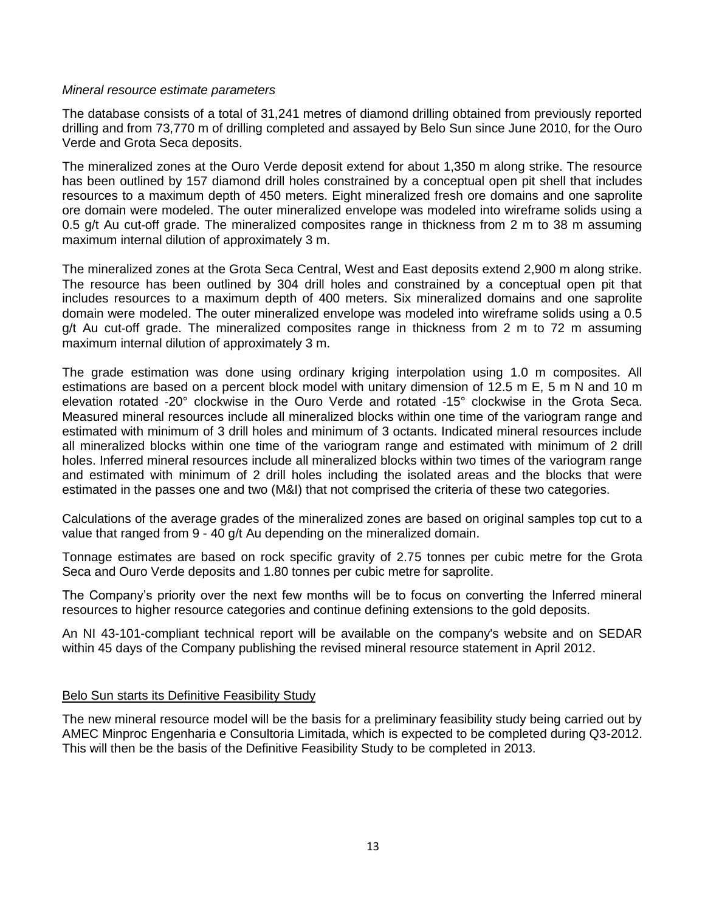### *Mineral resource estimate parameters*

The database consists of a total of 31,241 metres of diamond drilling obtained from previously reported drilling and from 73,770 m of drilling completed and assayed by Belo Sun since June 2010, for the Ouro Verde and Grota Seca deposits.

The mineralized zones at the Ouro Verde deposit extend for about 1,350 m along strike. The resource has been outlined by 157 diamond drill holes constrained by a conceptual open pit shell that includes resources to a maximum depth of 450 meters. Eight mineralized fresh ore domains and one saprolite ore domain were modeled. The outer mineralized envelope was modeled into wireframe solids using a 0.5 g/t Au cut-off grade. The mineralized composites range in thickness from 2 m to 38 m assuming maximum internal dilution of approximately 3 m.

The mineralized zones at the Grota Seca Central, West and East deposits extend 2,900 m along strike. The resource has been outlined by 304 drill holes and constrained by a conceptual open pit that includes resources to a maximum depth of 400 meters. Six mineralized domains and one saprolite domain were modeled. The outer mineralized envelope was modeled into wireframe solids using a 0.5  $q/t$  Au cut-off grade. The mineralized composites range in thickness from 2 m to 72 m assuming maximum internal dilution of approximately 3 m.

The grade estimation was done using ordinary kriging interpolation using 1.0 m composites. All estimations are based on a percent block model with unitary dimension of 12.5 m E, 5 m N and 10 m elevation rotated ‐20° clockwise in the Ouro Verde and rotated ‐15° clockwise in the Grota Seca. Measured mineral resources include all mineralized blocks within one time of the variogram range and estimated with minimum of 3 drill holes and minimum of 3 octants. Indicated mineral resources include all mineralized blocks within one time of the variogram range and estimated with minimum of 2 drill holes. Inferred mineral resources include all mineralized blocks within two times of the variogram range and estimated with minimum of 2 drill holes including the isolated areas and the blocks that were estimated in the passes one and two (M&I) that not comprised the criteria of these two categories.

Calculations of the average grades of the mineralized zones are based on original samples top cut to a value that ranged from 9 - 40 g/t Au depending on the mineralized domain.

Tonnage estimates are based on rock specific gravity of 2.75 tonnes per cubic metre for the Grota Seca and Ouro Verde deposits and 1.80 tonnes per cubic metre for saprolite.

The Company's priority over the next few months will be to focus on converting the Inferred mineral resources to higher resource categories and continue defining extensions to the gold deposits.

An NI 43-101-compliant technical report will be available on the company's website and on SEDAR within 45 days of the Company publishing the revised mineral resource statement in April 2012.

## Belo Sun starts its Definitive Feasibility Study

The new mineral resource model will be the basis for a preliminary feasibility study being carried out by AMEC Minproc Engenharia e Consultoria Limitada, which is expected to be completed during Q3-2012. This will then be the basis of the Definitive Feasibility Study to be completed in 2013.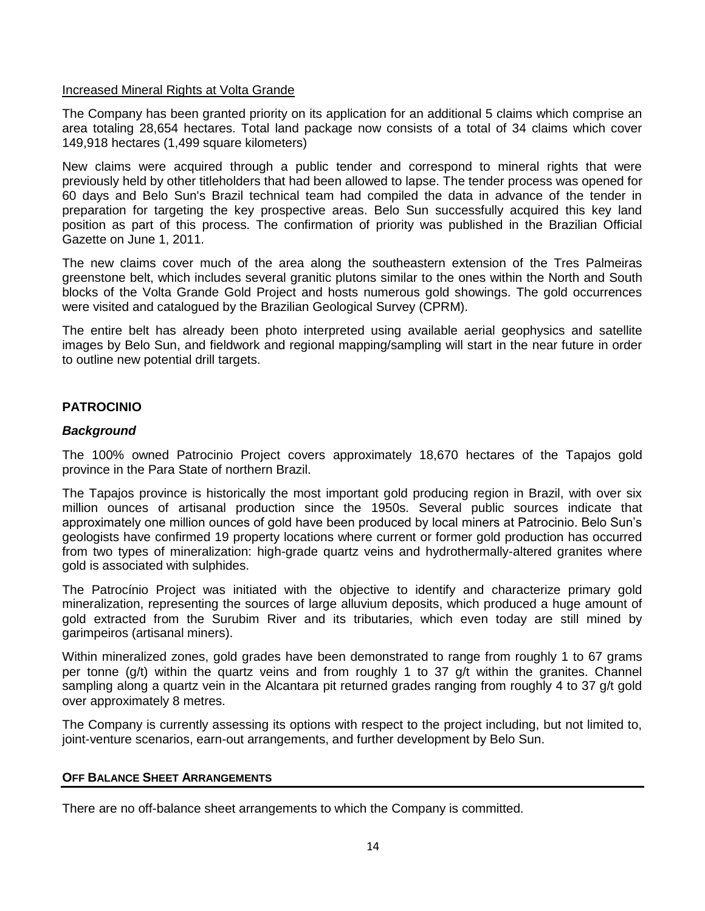# Increased Mineral Rights at Volta Grande

The Company has been granted priority on its application for an additional 5 claims which comprise an area totaling 28,654 hectares. Total land package now consists of a total of 34 claims which cover 149,918 hectares (1,499 square kilometers)

New claims were acquired through a public tender and correspond to mineral rights that were previously held by other titleholders that had been allowed to lapse. The tender process was opened for 60 days and Belo Sun's Brazil technical team had compiled the data in advance of the tender in preparation for targeting the key prospective areas. Belo Sun successfully acquired this key land position as part of this process. The confirmation of priority was published in the Brazilian Official Gazette on June 1, 2011.

The new claims cover much of the area along the southeastern extension of the Tres Palmeiras greenstone belt, which includes several granitic plutons similar to the ones within the North and South blocks of the Volta Grande Gold Project and hosts numerous gold showings. The gold occurrences were visited and catalogued by the Brazilian Geological Survey (CPRM).

The entire belt has already been photo interpreted using available aerial geophysics and satellite images by Belo Sun, and fieldwork and regional mapping/sampling will start in the near future in order to outline new potential drill targets.

# **PATROCINIO**

# *Background*

The 100% owned Patrocinio Project covers approximately 18,670 hectares of the Tapajos gold province in the Para State of northern Brazil.

The Tapajos province is historically the most important gold producing region in Brazil, with over six million ounces of artisanal production since the 1950s. Several public sources indicate that approximately one million ounces of gold have been produced by local miners at Patrocinio. Belo Sun's geologists have confirmed 19 property locations where current or former gold production has occurred from two types of mineralization: high-grade quartz veins and hydrothermally-altered granites where gold is associated with sulphides.

The Patrocínio Project was initiated with the objective to identify and characterize primary gold mineralization, representing the sources of large alluvium deposits, which produced a huge amount of gold extracted from the Surubim River and its tributaries, which even today are still mined by garimpeiros (artisanal miners).

Within mineralized zones, gold grades have been demonstrated to range from roughly 1 to 67 grams per tonne (g/t) within the quartz veins and from roughly 1 to 37 g/t within the granites. Channel sampling along a quartz vein in the Alcantara pit returned grades ranging from roughly 4 to 37 g/t gold over approximately 8 metres.

The Company is currently assessing its options with respect to the project including, but not limited to, joint-venture scenarios, earn-out arrangements, and further development by Belo Sun.

## **OFF BALANCE SHEET ARRANGEMENTS**

There are no off-balance sheet arrangements to which the Company is committed.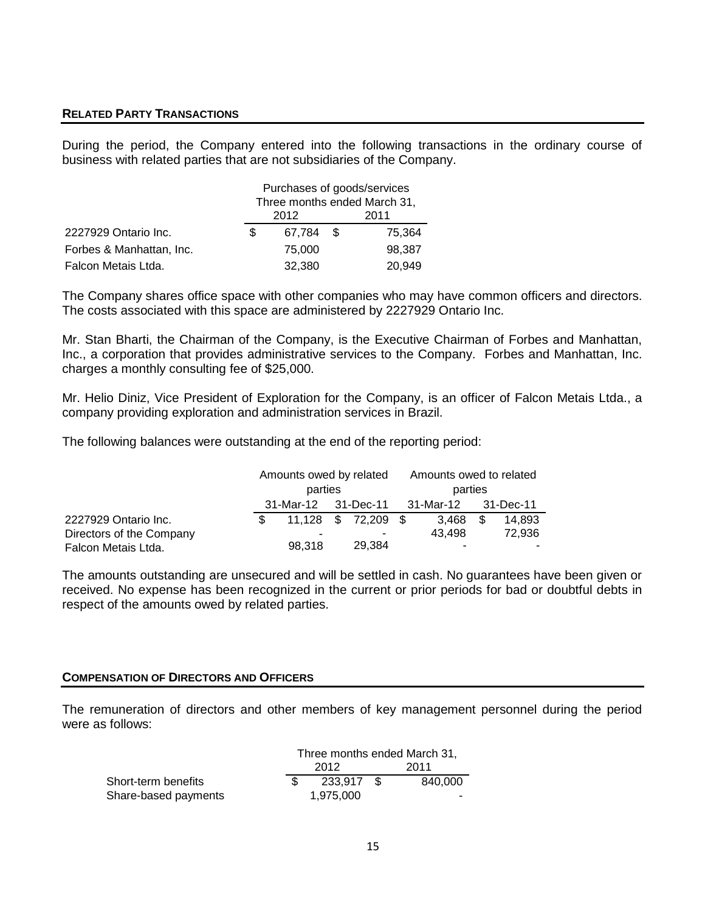# **RELATED PARTY TRANSACTIONS**

During the period, the Company entered into the following transactions in the ordinary course of business with related parties that are not subsidiaries of the Company.

|                          | Purchases of goods/services<br>Three months ended March 31, |        |      |        |
|--------------------------|-------------------------------------------------------------|--------|------|--------|
|                          | 2012                                                        |        | 2011 |        |
| 2227929 Ontario Inc.     | \$.                                                         | 67,784 | -S   | 75,364 |
| Forbes & Manhattan, Inc. |                                                             | 75,000 |      | 98,387 |
| Falcon Metais Ltda.      |                                                             | 32,380 |      | 20,949 |

The Company shares office space with other companies who may have common officers and directors. The costs associated with this space are administered by 2227929 Ontario Inc.

Mr. Stan Bharti, the Chairman of the Company, is the Executive Chairman of Forbes and Manhattan, Inc., a corporation that provides administrative services to the Company. Forbes and Manhattan, Inc. charges a monthly consulting fee of \$25,000.

Mr. Helio Diniz, Vice President of Exploration for the Company, is an officer of Falcon Metais Ltda., a company providing exploration and administration services in Brazil.

The following balances were outstanding at the end of the reporting period:

|                          |     | Amounts owed by related<br>parties |  |                     | Amounts owed to related<br>parties |        |    |        |
|--------------------------|-----|------------------------------------|--|---------------------|------------------------------------|--------|----|--------|
|                          |     | 31-Mar-12 31-Dec-11                |  |                     | 31-Mar-12<br>31-Dec-11             |        |    |        |
| 2227929 Ontario Inc.     | \$. |                                    |  | 11,128 \$ 72,209 \$ |                                    | 3.468  | -S | 14.893 |
| Directors of the Company |     | -                                  |  | -                   |                                    | 43.498 |    | 72.936 |
| Falcon Metais Ltda.      |     | 98.318                             |  | 29.384              |                                    | -      |    |        |

The amounts outstanding are unsecured and will be settled in cash. No guarantees have been given or received. No expense has been recognized in the current or prior periods for bad or doubtful debts in respect of the amounts owed by related parties.

#### **COMPENSATION OF DIRECTORS AND OFFICERS**

The remuneration of directors and other members of key management personnel during the period were as follows:

|                      | Three months ended March 31, |           |  |         |
|----------------------|------------------------------|-----------|--|---------|
|                      | 2012                         |           |  | 2011    |
| Short-term benefits  |                              | 233.917   |  | 840.000 |
| Share-based payments |                              | 1.975.000 |  |         |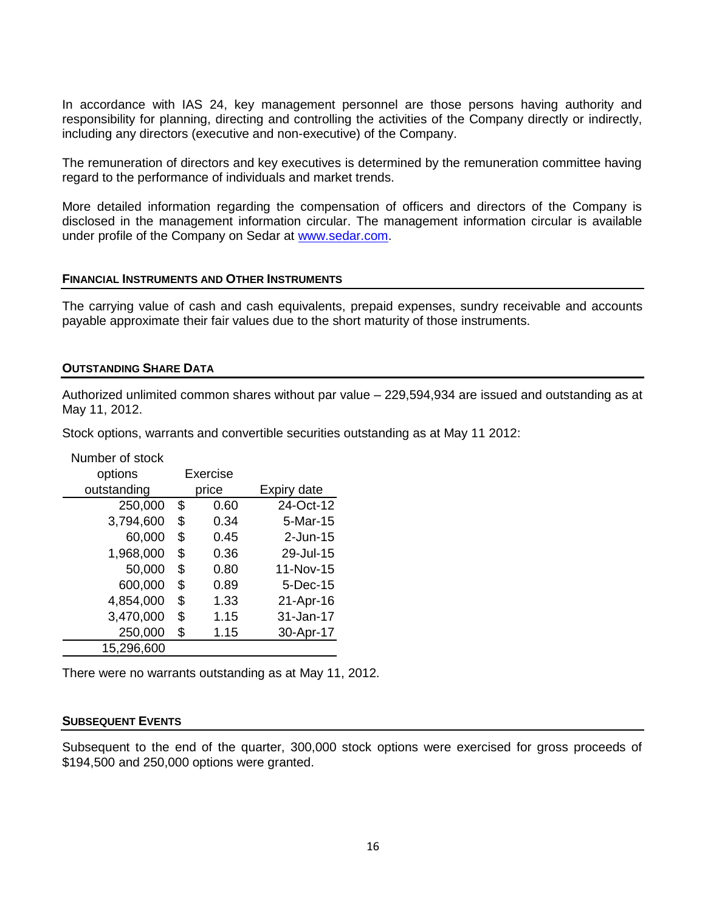In accordance with IAS 24, key management personnel are those persons having authority and responsibility for planning, directing and controlling the activities of the Company directly or indirectly, including any directors (executive and non-executive) of the Company.

The remuneration of directors and key executives is determined by the remuneration committee having regard to the performance of individuals and market trends.

More detailed information regarding the compensation of officers and directors of the Company is disclosed in the management information circular. The management information circular is available under profile of the Company on Sedar at [www.sedar.com.](http://www.sedar.com/)

## **FINANCIAL INSTRUMENTS AND OTHER INSTRUMENTS**

The carrying value of cash and cash equivalents, prepaid expenses, sundry receivable and accounts payable approximate their fair values due to the short maturity of those instruments.

#### **OUTSTANDING SHARE DATA**

Authorized unlimited common shares without par value – 229,594,934 are issued and outstanding as at May 11, 2012.

Stock options, warrants and convertible securities outstanding as at May 11 2012:

| Number of stock |       |          |             |
|-----------------|-------|----------|-------------|
| options         |       | Exercise |             |
| outstanding     | price |          | Expiry date |
| 250,000         | \$    | 0.60     | 24-Oct-12   |
| 3,794,600       | \$    | 0.34     | $5-Mar-15$  |
| 60,000          | \$    | 0.45     | $2$ -Jun-15 |
| 1,968,000       | \$    | 0.36     | 29-Jul-15   |
| 50,000          | \$    | 0.80     | 11-Nov-15   |
| 600,000         | \$    | 0.89     | 5-Dec-15    |
| 4,854,000       | \$    | 1.33     | 21-Apr-16   |
| 3,470,000       | \$    | 1.15     | 31-Jan-17   |
| 250,000         | \$    | 1.15     | 30-Apr-17   |
| 15,296,600      |       |          |             |

There were no warrants outstanding as at May 11, 2012.

#### **SUBSEQUENT EVENTS**

Subsequent to the end of the quarter, 300,000 stock options were exercised for gross proceeds of \$194,500 and 250,000 options were granted.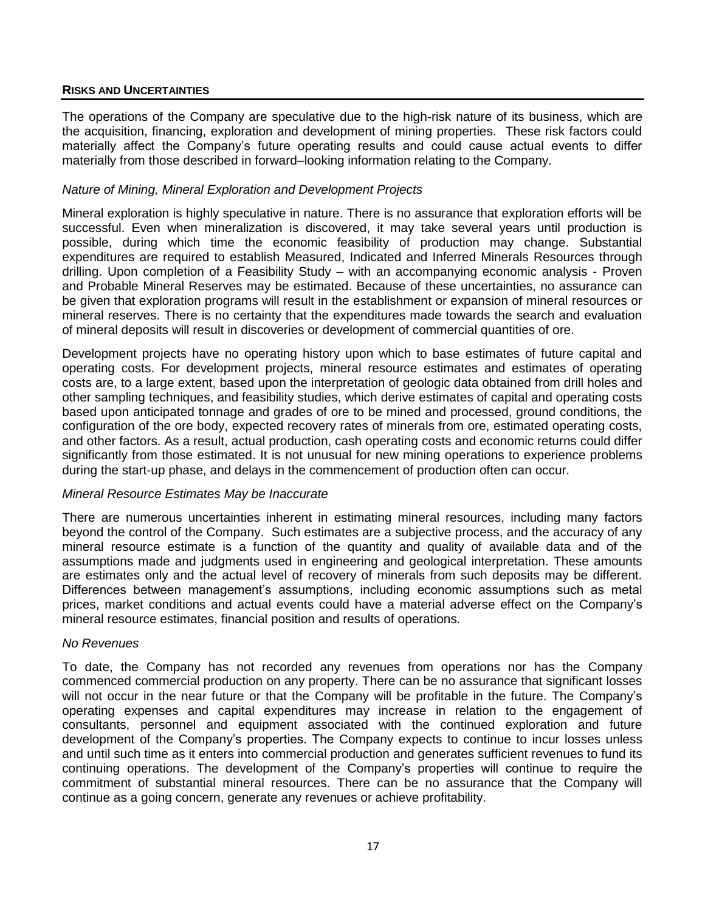# **RISKS AND UNCERTAINTIES**

The operations of the Company are speculative due to the high-risk nature of its business, which are the acquisition, financing, exploration and development of mining properties. These risk factors could materially affect the Company's future operating results and could cause actual events to differ materially from those described in forward–looking information relating to the Company.

## *Nature of Mining, Mineral Exploration and Development Projects*

Mineral exploration is highly speculative in nature. There is no assurance that exploration efforts will be successful. Even when mineralization is discovered, it may take several years until production is possible, during which time the economic feasibility of production may change. Substantial expenditures are required to establish Measured, Indicated and Inferred Minerals Resources through drilling. Upon completion of a Feasibility Study – with an accompanying economic analysis - Proven and Probable Mineral Reserves may be estimated. Because of these uncertainties, no assurance can be given that exploration programs will result in the establishment or expansion of mineral resources or mineral reserves. There is no certainty that the expenditures made towards the search and evaluation of mineral deposits will result in discoveries or development of commercial quantities of ore.

Development projects have no operating history upon which to base estimates of future capital and operating costs. For development projects, mineral resource estimates and estimates of operating costs are, to a large extent, based upon the interpretation of geologic data obtained from drill holes and other sampling techniques, and feasibility studies, which derive estimates of capital and operating costs based upon anticipated tonnage and grades of ore to be mined and processed, ground conditions, the configuration of the ore body, expected recovery rates of minerals from ore, estimated operating costs, and other factors. As a result, actual production, cash operating costs and economic returns could differ significantly from those estimated. It is not unusual for new mining operations to experience problems during the start-up phase, and delays in the commencement of production often can occur.

## *Mineral Resource Estimates May be Inaccurate*

There are numerous uncertainties inherent in estimating mineral resources, including many factors beyond the control of the Company. Such estimates are a subjective process, and the accuracy of any mineral resource estimate is a function of the quantity and quality of available data and of the assumptions made and judgments used in engineering and geological interpretation. These amounts are estimates only and the actual level of recovery of minerals from such deposits may be different. Differences between management's assumptions, including economic assumptions such as metal prices, market conditions and actual events could have a material adverse effect on the Company's mineral resource estimates, financial position and results of operations.

#### *No Revenues*

To date, the Company has not recorded any revenues from operations nor has the Company commenced commercial production on any property. There can be no assurance that significant losses will not occur in the near future or that the Company will be profitable in the future. The Company's operating expenses and capital expenditures may increase in relation to the engagement of consultants, personnel and equipment associated with the continued exploration and future development of the Company's properties. The Company expects to continue to incur losses unless and until such time as it enters into commercial production and generates sufficient revenues to fund its continuing operations. The development of the Company's properties will continue to require the commitment of substantial mineral resources. There can be no assurance that the Company will continue as a going concern, generate any revenues or achieve profitability.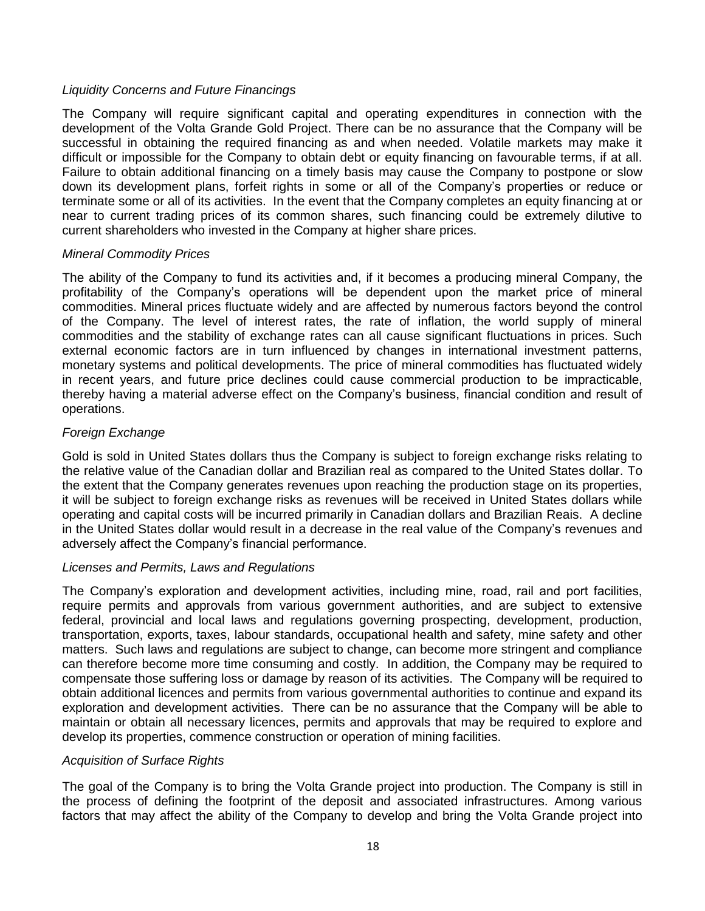# *Liquidity Concerns and Future Financings*

The Company will require significant capital and operating expenditures in connection with the development of the Volta Grande Gold Project. There can be no assurance that the Company will be successful in obtaining the required financing as and when needed. Volatile markets may make it difficult or impossible for the Company to obtain debt or equity financing on favourable terms, if at all. Failure to obtain additional financing on a timely basis may cause the Company to postpone or slow down its development plans, forfeit rights in some or all of the Company's properties or reduce or terminate some or all of its activities. In the event that the Company completes an equity financing at or near to current trading prices of its common shares, such financing could be extremely dilutive to current shareholders who invested in the Company at higher share prices.

# *Mineral Commodity Prices*

The ability of the Company to fund its activities and, if it becomes a producing mineral Company, the profitability of the Company's operations will be dependent upon the market price of mineral commodities. Mineral prices fluctuate widely and are affected by numerous factors beyond the control of the Company. The level of interest rates, the rate of inflation, the world supply of mineral commodities and the stability of exchange rates can all cause significant fluctuations in prices. Such external economic factors are in turn influenced by changes in international investment patterns, monetary systems and political developments. The price of mineral commodities has fluctuated widely in recent years, and future price declines could cause commercial production to be impracticable, thereby having a material adverse effect on the Company's business, financial condition and result of operations.

# *Foreign Exchange*

Gold is sold in United States dollars thus the Company is subject to foreign exchange risks relating to the relative value of the Canadian dollar and Brazilian real as compared to the United States dollar. To the extent that the Company generates revenues upon reaching the production stage on its properties, it will be subject to foreign exchange risks as revenues will be received in United States dollars while operating and capital costs will be incurred primarily in Canadian dollars and Brazilian Reais. A decline in the United States dollar would result in a decrease in the real value of the Company's revenues and adversely affect the Company's financial performance.

## *Licenses and Permits, Laws and Regulations*

The Company's exploration and development activities, including mine, road, rail and port facilities, require permits and approvals from various government authorities, and are subject to extensive federal, provincial and local laws and regulations governing prospecting, development, production, transportation, exports, taxes, labour standards, occupational health and safety, mine safety and other matters. Such laws and regulations are subject to change, can become more stringent and compliance can therefore become more time consuming and costly. In addition, the Company may be required to compensate those suffering loss or damage by reason of its activities. The Company will be required to obtain additional licences and permits from various governmental authorities to continue and expand its exploration and development activities. There can be no assurance that the Company will be able to maintain or obtain all necessary licences, permits and approvals that may be required to explore and develop its properties, commence construction or operation of mining facilities.

## *Acquisition of Surface Rights*

The goal of the Company is to bring the Volta Grande project into production. The Company is still in the process of defining the footprint of the deposit and associated infrastructures. Among various factors that may affect the ability of the Company to develop and bring the Volta Grande project into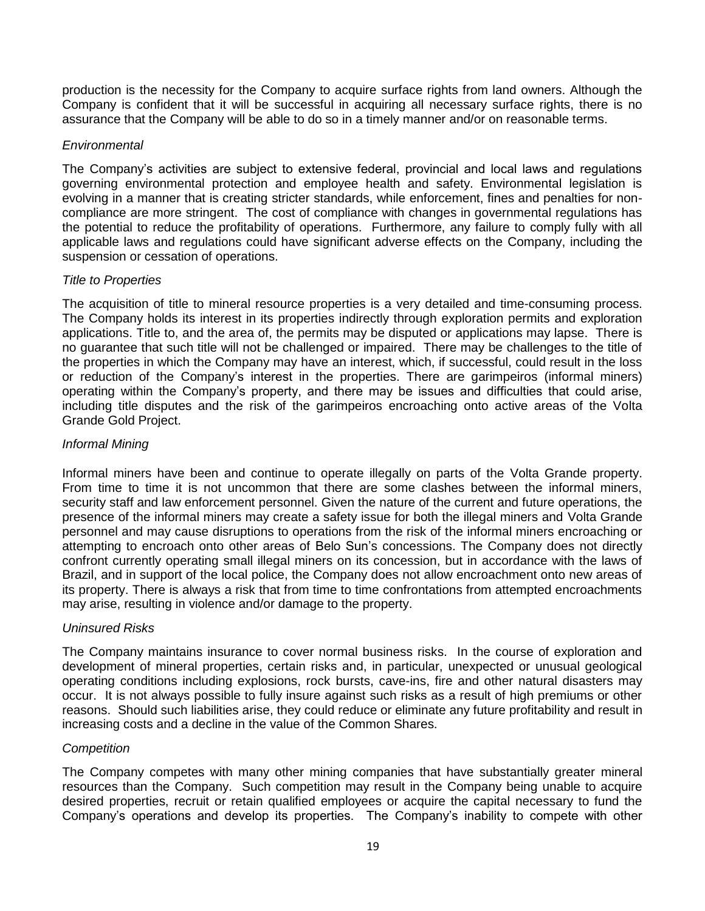production is the necessity for the Company to acquire surface rights from land owners. Although the Company is confident that it will be successful in acquiring all necessary surface rights, there is no assurance that the Company will be able to do so in a timely manner and/or on reasonable terms.

# *Environmental*

The Company's activities are subject to extensive federal, provincial and local laws and regulations governing environmental protection and employee health and safety. Environmental legislation is evolving in a manner that is creating stricter standards, while enforcement, fines and penalties for noncompliance are more stringent. The cost of compliance with changes in governmental regulations has the potential to reduce the profitability of operations. Furthermore, any failure to comply fully with all applicable laws and regulations could have significant adverse effects on the Company, including the suspension or cessation of operations.

# *Title to Properties*

The acquisition of title to mineral resource properties is a very detailed and time-consuming process. The Company holds its interest in its properties indirectly through exploration permits and exploration applications. Title to, and the area of, the permits may be disputed or applications may lapse. There is no guarantee that such title will not be challenged or impaired. There may be challenges to the title of the properties in which the Company may have an interest, which, if successful, could result in the loss or reduction of the Company's interest in the properties. There are garimpeiros (informal miners) operating within the Company's property, and there may be issues and difficulties that could arise, including title disputes and the risk of the garimpeiros encroaching onto active areas of the Volta Grande Gold Project.

# *Informal Mining*

Informal miners have been and continue to operate illegally on parts of the Volta Grande property. From time to time it is not uncommon that there are some clashes between the informal miners, security staff and law enforcement personnel. Given the nature of the current and future operations, the presence of the informal miners may create a safety issue for both the illegal miners and Volta Grande personnel and may cause disruptions to operations from the risk of the informal miners encroaching or attempting to encroach onto other areas of Belo Sun's concessions. The Company does not directly confront currently operating small illegal miners on its concession, but in accordance with the laws of Brazil, and in support of the local police, the Company does not allow encroachment onto new areas of its property. There is always a risk that from time to time confrontations from attempted encroachments may arise, resulting in violence and/or damage to the property.

## *Uninsured Risks*

The Company maintains insurance to cover normal business risks. In the course of exploration and development of mineral properties, certain risks and, in particular, unexpected or unusual geological operating conditions including explosions, rock bursts, cave-ins, fire and other natural disasters may occur. It is not always possible to fully insure against such risks as a result of high premiums or other reasons. Should such liabilities arise, they could reduce or eliminate any future profitability and result in increasing costs and a decline in the value of the Common Shares.

## *Competition*

The Company competes with many other mining companies that have substantially greater mineral resources than the Company. Such competition may result in the Company being unable to acquire desired properties, recruit or retain qualified employees or acquire the capital necessary to fund the Company's operations and develop its properties. The Company's inability to compete with other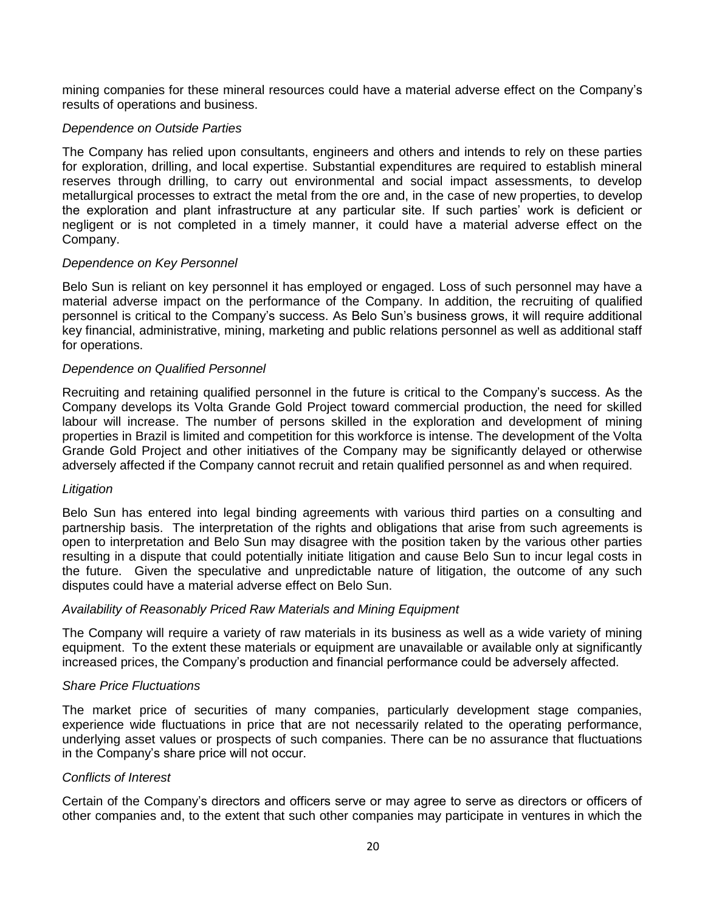mining companies for these mineral resources could have a material adverse effect on the Company's results of operations and business.

## *Dependence on Outside Parties*

The Company has relied upon consultants, engineers and others and intends to rely on these parties for exploration, drilling, and local expertise. Substantial expenditures are required to establish mineral reserves through drilling, to carry out environmental and social impact assessments, to develop metallurgical processes to extract the metal from the ore and, in the case of new properties, to develop the exploration and plant infrastructure at any particular site. If such parties' work is deficient or negligent or is not completed in a timely manner, it could have a material adverse effect on the Company.

# *Dependence on Key Personnel*

Belo Sun is reliant on key personnel it has employed or engaged. Loss of such personnel may have a material adverse impact on the performance of the Company. In addition, the recruiting of qualified personnel is critical to the Company's success. As Belo Sun's business grows, it will require additional key financial, administrative, mining, marketing and public relations personnel as well as additional staff for operations.

# *Dependence on Qualified Personnel*

Recruiting and retaining qualified personnel in the future is critical to the Company's success. As the Company develops its Volta Grande Gold Project toward commercial production, the need for skilled labour will increase. The number of persons skilled in the exploration and development of mining properties in Brazil is limited and competition for this workforce is intense. The development of the Volta Grande Gold Project and other initiatives of the Company may be significantly delayed or otherwise adversely affected if the Company cannot recruit and retain qualified personnel as and when required.

## *Litigation*

Belo Sun has entered into legal binding agreements with various third parties on a consulting and partnership basis. The interpretation of the rights and obligations that arise from such agreements is open to interpretation and Belo Sun may disagree with the position taken by the various other parties resulting in a dispute that could potentially initiate litigation and cause Belo Sun to incur legal costs in the future. Given the speculative and unpredictable nature of litigation, the outcome of any such disputes could have a material adverse effect on Belo Sun.

## *Availability of Reasonably Priced Raw Materials and Mining Equipment*

The Company will require a variety of raw materials in its business as well as a wide variety of mining equipment. To the extent these materials or equipment are unavailable or available only at significantly increased prices, the Company's production and financial performance could be adversely affected.

## *Share Price Fluctuations*

The market price of securities of many companies, particularly development stage companies, experience wide fluctuations in price that are not necessarily related to the operating performance, underlying asset values or prospects of such companies. There can be no assurance that fluctuations in the Company's share price will not occur.

## *Conflicts of Interest*

Certain of the Company's directors and officers serve or may agree to serve as directors or officers of other companies and, to the extent that such other companies may participate in ventures in which the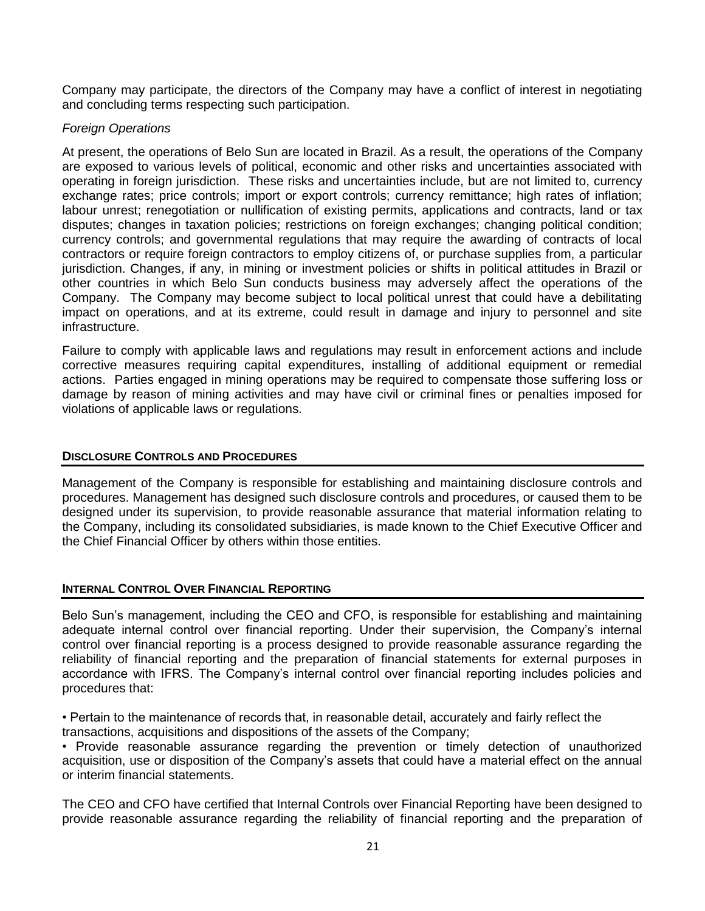Company may participate, the directors of the Company may have a conflict of interest in negotiating and concluding terms respecting such participation.

# *Foreign Operations*

At present, the operations of Belo Sun are located in Brazil. As a result, the operations of the Company are exposed to various levels of political, economic and other risks and uncertainties associated with operating in foreign jurisdiction. These risks and uncertainties include, but are not limited to, currency exchange rates; price controls; import or export controls; currency remittance; high rates of inflation; labour unrest; renegotiation or nullification of existing permits, applications and contracts, land or tax disputes; changes in taxation policies; restrictions on foreign exchanges; changing political condition; currency controls; and governmental regulations that may require the awarding of contracts of local contractors or require foreign contractors to employ citizens of, or purchase supplies from, a particular jurisdiction. Changes, if any, in mining or investment policies or shifts in political attitudes in Brazil or other countries in which Belo Sun conducts business may adversely affect the operations of the Company. The Company may become subject to local political unrest that could have a debilitating impact on operations, and at its extreme, could result in damage and injury to personnel and site infrastructure.

Failure to comply with applicable laws and regulations may result in enforcement actions and include corrective measures requiring capital expenditures, installing of additional equipment or remedial actions. Parties engaged in mining operations may be required to compensate those suffering loss or damage by reason of mining activities and may have civil or criminal fines or penalties imposed for violations of applicable laws or regulations.

# **DISCLOSURE CONTROLS AND PROCEDURES**

Management of the Company is responsible for establishing and maintaining disclosure controls and procedures. Management has designed such disclosure controls and procedures, or caused them to be designed under its supervision, to provide reasonable assurance that material information relating to the Company, including its consolidated subsidiaries, is made known to the Chief Executive Officer and the Chief Financial Officer by others within those entities.

# **INTERNAL CONTROL OVER FINANCIAL REPORTING**

Belo Sun's management, including the CEO and CFO, is responsible for establishing and maintaining adequate internal control over financial reporting. Under their supervision, the Company's internal control over financial reporting is a process designed to provide reasonable assurance regarding the reliability of financial reporting and the preparation of financial statements for external purposes in accordance with IFRS. The Company's internal control over financial reporting includes policies and procedures that:

• Pertain to the maintenance of records that, in reasonable detail, accurately and fairly reflect the transactions, acquisitions and dispositions of the assets of the Company;

• Provide reasonable assurance regarding the prevention or timely detection of unauthorized acquisition, use or disposition of the Company's assets that could have a material effect on the annual or interim financial statements.

The CEO and CFO have certified that Internal Controls over Financial Reporting have been designed to provide reasonable assurance regarding the reliability of financial reporting and the preparation of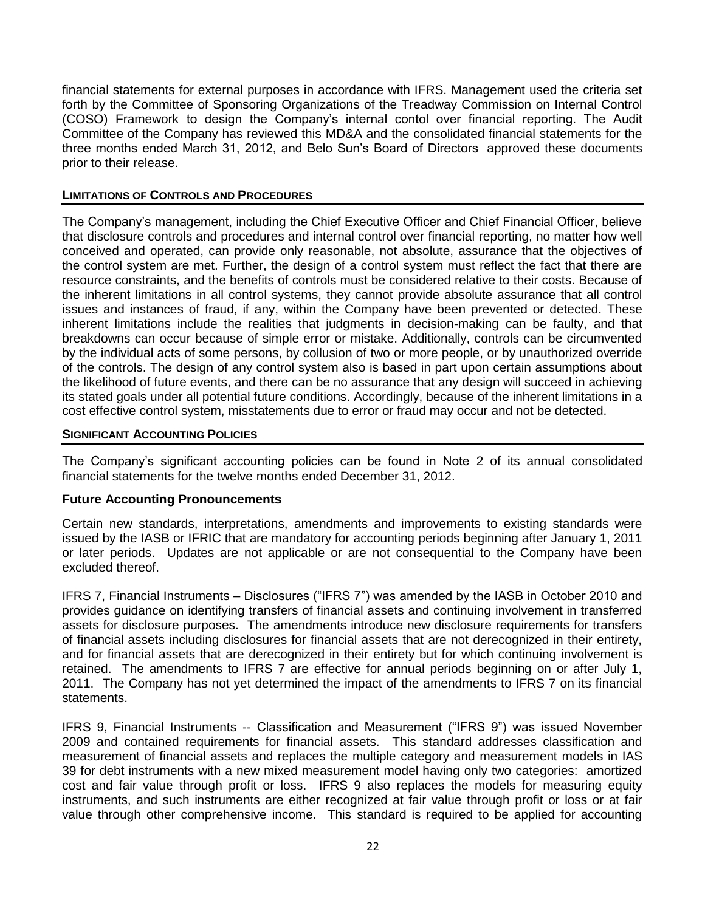financial statements for external purposes in accordance with IFRS. Management used the criteria set forth by the Committee of Sponsoring Organizations of the Treadway Commission on Internal Control (COSO) Framework to design the Company's internal contol over financial reporting. The Audit Committee of the Company has reviewed this MD&A and the consolidated financial statements for the three months ended March 31, 2012, and Belo Sun's Board of Directors approved these documents prior to their release.

## **LIMITATIONS OF CONTROLS AND PROCEDURES**

The Company's management, including the Chief Executive Officer and Chief Financial Officer, believe that disclosure controls and procedures and internal control over financial reporting, no matter how well conceived and operated, can provide only reasonable, not absolute, assurance that the objectives of the control system are met. Further, the design of a control system must reflect the fact that there are resource constraints, and the benefits of controls must be considered relative to their costs. Because of the inherent limitations in all control systems, they cannot provide absolute assurance that all control issues and instances of fraud, if any, within the Company have been prevented or detected. These inherent limitations include the realities that judgments in decision-making can be faulty, and that breakdowns can occur because of simple error or mistake. Additionally, controls can be circumvented by the individual acts of some persons, by collusion of two or more people, or by unauthorized override of the controls. The design of any control system also is based in part upon certain assumptions about the likelihood of future events, and there can be no assurance that any design will succeed in achieving its stated goals under all potential future conditions. Accordingly, because of the inherent limitations in a cost effective control system, misstatements due to error or fraud may occur and not be detected.

## **SIGNIFICANT ACCOUNTING POLICIES**

The Company's significant accounting policies can be found in Note 2 of its annual consolidated financial statements for the twelve months ended December 31, 2012.

## **Future Accounting Pronouncements**

Certain new standards, interpretations, amendments and improvements to existing standards were issued by the IASB or IFRIC that are mandatory for accounting periods beginning after January 1, 2011 or later periods. Updates are not applicable or are not consequential to the Company have been excluded thereof.

IFRS 7, Financial Instruments – Disclosures ("IFRS 7") was amended by the IASB in October 2010 and provides guidance on identifying transfers of financial assets and continuing involvement in transferred assets for disclosure purposes. The amendments introduce new disclosure requirements for transfers of financial assets including disclosures for financial assets that are not derecognized in their entirety, and for financial assets that are derecognized in their entirety but for which continuing involvement is retained. The amendments to IFRS 7 are effective for annual periods beginning on or after July 1, 2011. The Company has not yet determined the impact of the amendments to IFRS 7 on its financial statements.

IFRS 9, Financial Instruments -- Classification and Measurement ("IFRS 9") was issued November 2009 and contained requirements for financial assets. This standard addresses classification and measurement of financial assets and replaces the multiple category and measurement models in IAS 39 for debt instruments with a new mixed measurement model having only two categories: amortized cost and fair value through profit or loss. IFRS 9 also replaces the models for measuring equity instruments, and such instruments are either recognized at fair value through profit or loss or at fair value through other comprehensive income. This standard is required to be applied for accounting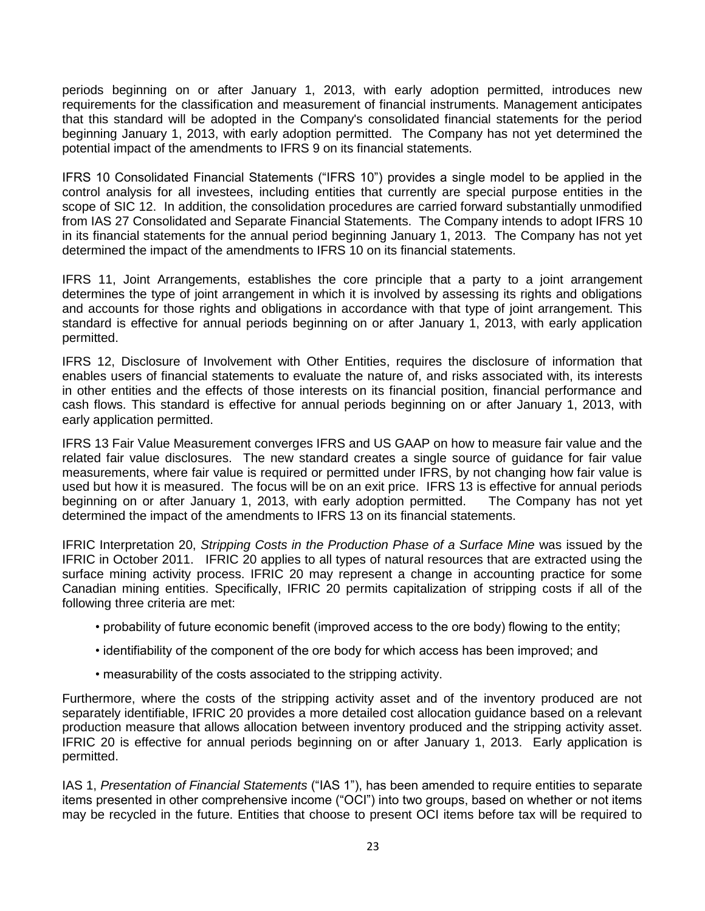periods beginning on or after January 1, 2013, with early adoption permitted, introduces new requirements for the classification and measurement of financial instruments. Management anticipates that this standard will be adopted in the Company's consolidated financial statements for the period beginning January 1, 2013, with early adoption permitted. The Company has not yet determined the potential impact of the amendments to IFRS 9 on its financial statements.

IFRS 10 Consolidated Financial Statements ("IFRS 10") provides a single model to be applied in the control analysis for all investees, including entities that currently are special purpose entities in the scope of SIC 12. In addition, the consolidation procedures are carried forward substantially unmodified from IAS 27 Consolidated and Separate Financial Statements. The Company intends to adopt IFRS 10 in its financial statements for the annual period beginning January 1, 2013. The Company has not yet determined the impact of the amendments to IFRS 10 on its financial statements.

IFRS 11, Joint Arrangements, establishes the core principle that a party to a joint arrangement determines the type of joint arrangement in which it is involved by assessing its rights and obligations and accounts for those rights and obligations in accordance with that type of joint arrangement. This standard is effective for annual periods beginning on or after January 1, 2013, with early application permitted.

IFRS 12, Disclosure of Involvement with Other Entities, requires the disclosure of information that enables users of financial statements to evaluate the nature of, and risks associated with, its interests in other entities and the effects of those interests on its financial position, financial performance and cash flows. This standard is effective for annual periods beginning on or after January 1, 2013, with early application permitted.

IFRS 13 Fair Value Measurement converges IFRS and US GAAP on how to measure fair value and the related fair value disclosures. The new standard creates a single source of guidance for fair value measurements, where fair value is required or permitted under IFRS, by not changing how fair value is used but how it is measured. The focus will be on an exit price. IFRS 13 is effective for annual periods beginning on or after January 1, 2013, with early adoption permitted. The Company has not yet determined the impact of the amendments to IFRS 13 on its financial statements.

IFRIC Interpretation 20, *Stripping Costs in the Production Phase of a Surface Mine* was issued by the IFRIC in October 2011. IFRIC 20 applies to all types of natural resources that are extracted using the surface mining activity process. IFRIC 20 may represent a change in accounting practice for some Canadian mining entities. Specifically, IFRIC 20 permits capitalization of stripping costs if all of the following three criteria are met:

- probability of future economic benefit (improved access to the ore body) flowing to the entity;
- identifiability of the component of the ore body for which access has been improved; and
- measurability of the costs associated to the stripping activity.

Furthermore, where the costs of the stripping activity asset and of the inventory produced are not separately identifiable, IFRIC 20 provides a more detailed cost allocation guidance based on a relevant production measure that allows allocation between inventory produced and the stripping activity asset. IFRIC 20 is effective for annual periods beginning on or after January 1, 2013. Early application is permitted.

IAS 1, *Presentation of Financial Statements* ("IAS 1"), has been amended to require entities to separate items presented in other comprehensive income ("OCI") into two groups, based on whether or not items may be recycled in the future. Entities that choose to present OCI items before tax will be required to